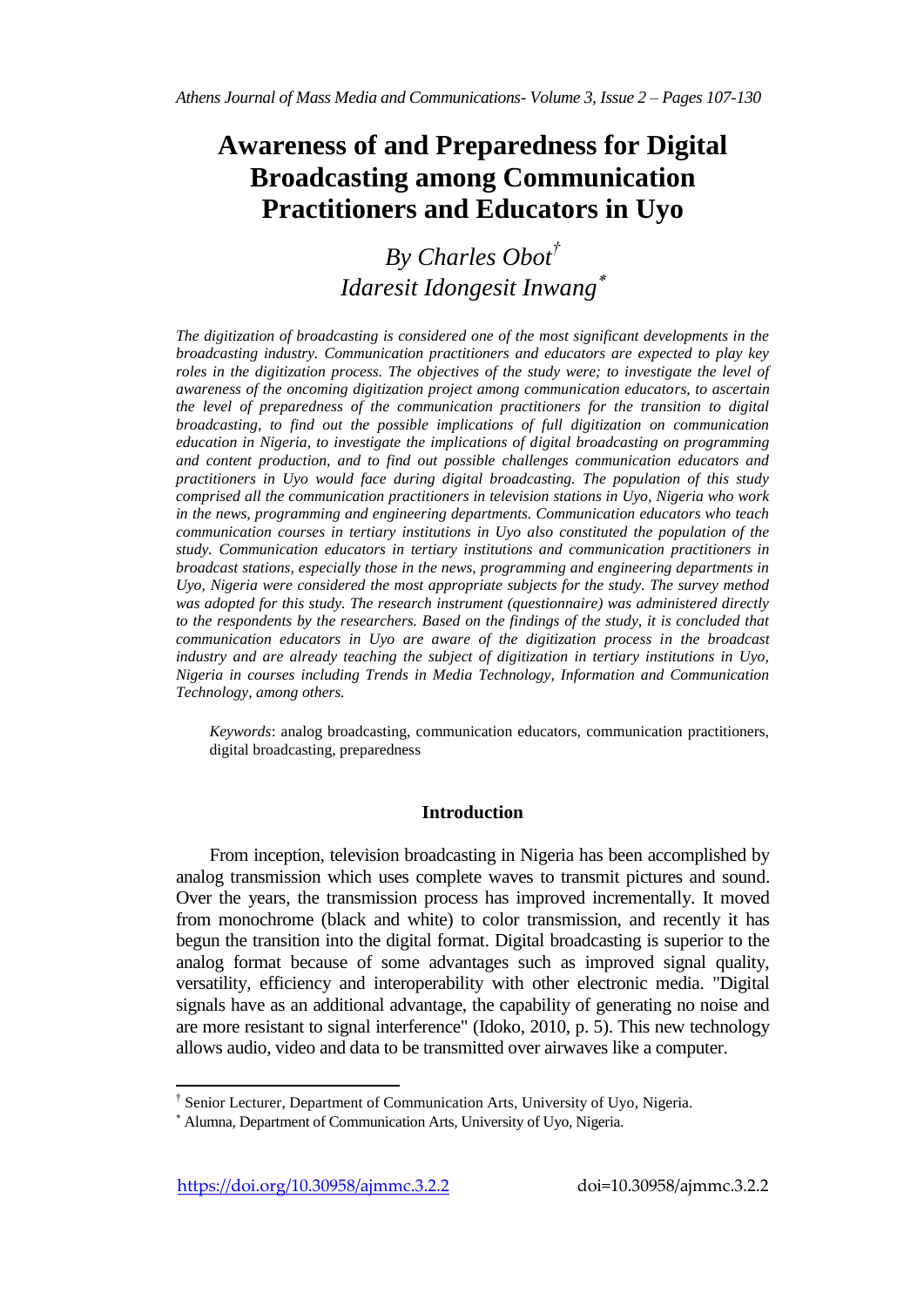# **Awareness of and Preparedness for Digital Broadcasting among Communication Practitioners and Educators in Uyo**

# *By Charles Obot† Idaresit Idongesit Inwang*

*The digitization of broadcasting is considered one of the most significant developments in the broadcasting industry. Communication practitioners and educators are expected to play key roles in the digitization process. The objectives of the study were; to investigate the level of awareness of the oncoming digitization project among communication educators, to ascertain the level of preparedness of the communication practitioners for the transition to digital broadcasting, to find out the possible implications of full digitization on communication education in Nigeria, to investigate the implications of digital broadcasting on programming and content production, and to find out possible challenges communication educators and practitioners in Uyo would face during digital broadcasting. The population of this study comprised all the communication practitioners in television stations in Uyo, Nigeria who work in the news, programming and engineering departments. Communication educators who teach communication courses in tertiary institutions in Uyo also constituted the population of the study. Communication educators in tertiary institutions and communication practitioners in broadcast stations, especially those in the news, programming and engineering departments in Uyo, Nigeria were considered the most appropriate subjects for the study. The survey method was adopted for this study. The research instrument (questionnaire) was administered directly to the respondents by the researchers. Based on the findings of the study, it is concluded that communication educators in Uyo are aware of the digitization process in the broadcast industry and are already teaching the subject of digitization in tertiary institutions in Uyo, Nigeria in courses including Trends in Media Technology, Information and Communication Technology, among others.*

*Keywords*: analog broadcasting, communication educators, communication practitioners, digital broadcasting, preparedness

## **Introduction**

From inception, television broadcasting in Nigeria has been accomplished by analog transmission which uses complete waves to transmit pictures and sound. Over the years, the transmission process has improved incrementally. It moved from monochrome (black and white) to color transmission, and recently it has begun the transition into the digital format. Digital broadcasting is superior to the analog format because of some advantages such as improved signal quality, versatility, efficiency and interoperability with other electronic media. "Digital signals have as an additional advantage, the capability of generating no noise and are more resistant to signal interference" (Idoko, 2010, p. 5). This new technology allows audio, video and data to be transmitted over airwaves like a computer.

 $\overline{\phantom{a}}$ † Senior Lecturer, Department of Communication Arts, University of Uyo, Nigeria.

Alumna, Department of Communication Arts, University of Uyo, Nigeria.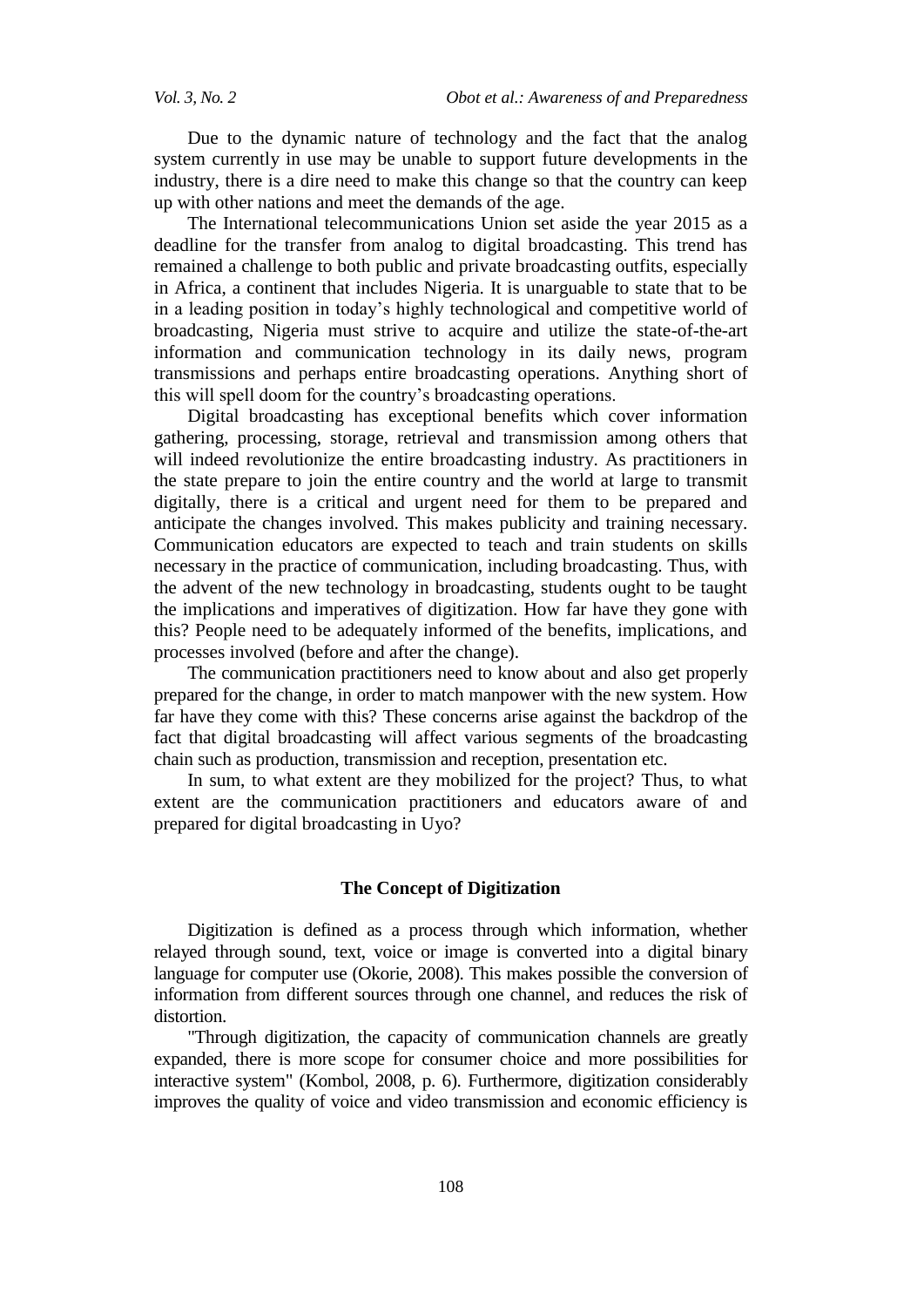Due to the dynamic nature of technology and the fact that the analog system currently in use may be unable to support future developments in the industry, there is a dire need to make this change so that the country can keep up with other nations and meet the demands of the age.

The International telecommunications Union set aside the year 2015 as a deadline for the transfer from analog to digital broadcasting. This trend has remained a challenge to both public and private broadcasting outfits, especially in Africa, a continent that includes Nigeria. It is unarguable to state that to be in a leading position in today's highly technological and competitive world of broadcasting, Nigeria must strive to acquire and utilize the state-of-the-art information and communication technology in its daily news, program transmissions and perhaps entire broadcasting operations. Anything short of this will spell doom for the country's broadcasting operations.

Digital broadcasting has exceptional benefits which cover information gathering, processing, storage, retrieval and transmission among others that will indeed revolutionize the entire broadcasting industry. As practitioners in the state prepare to join the entire country and the world at large to transmit digitally, there is a critical and urgent need for them to be prepared and anticipate the changes involved. This makes publicity and training necessary. Communication educators are expected to teach and train students on skills necessary in the practice of communication, including broadcasting. Thus, with the advent of the new technology in broadcasting, students ought to be taught the implications and imperatives of digitization. How far have they gone with this? People need to be adequately informed of the benefits, implications, and processes involved (before and after the change).

The communication practitioners need to know about and also get properly prepared for the change, in order to match manpower with the new system. How far have they come with this? These concerns arise against the backdrop of the fact that digital broadcasting will affect various segments of the broadcasting chain such as production, transmission and reception, presentation etc.

In sum, to what extent are they mobilized for the project? Thus, to what extent are the communication practitioners and educators aware of and prepared for digital broadcasting in Uyo?

#### **The Concept of Digitization**

Digitization is defined as a process through which information, whether relayed through sound, text, voice or image is converted into a digital binary language for computer use (Okorie, 2008). This makes possible the conversion of information from different sources through one channel, and reduces the risk of distortion.

"Through digitization, the capacity of communication channels are greatly expanded, there is more scope for consumer choice and more possibilities for interactive system" (Kombol, 2008, p. 6). Furthermore, digitization considerably improves the quality of voice and video transmission and economic efficiency is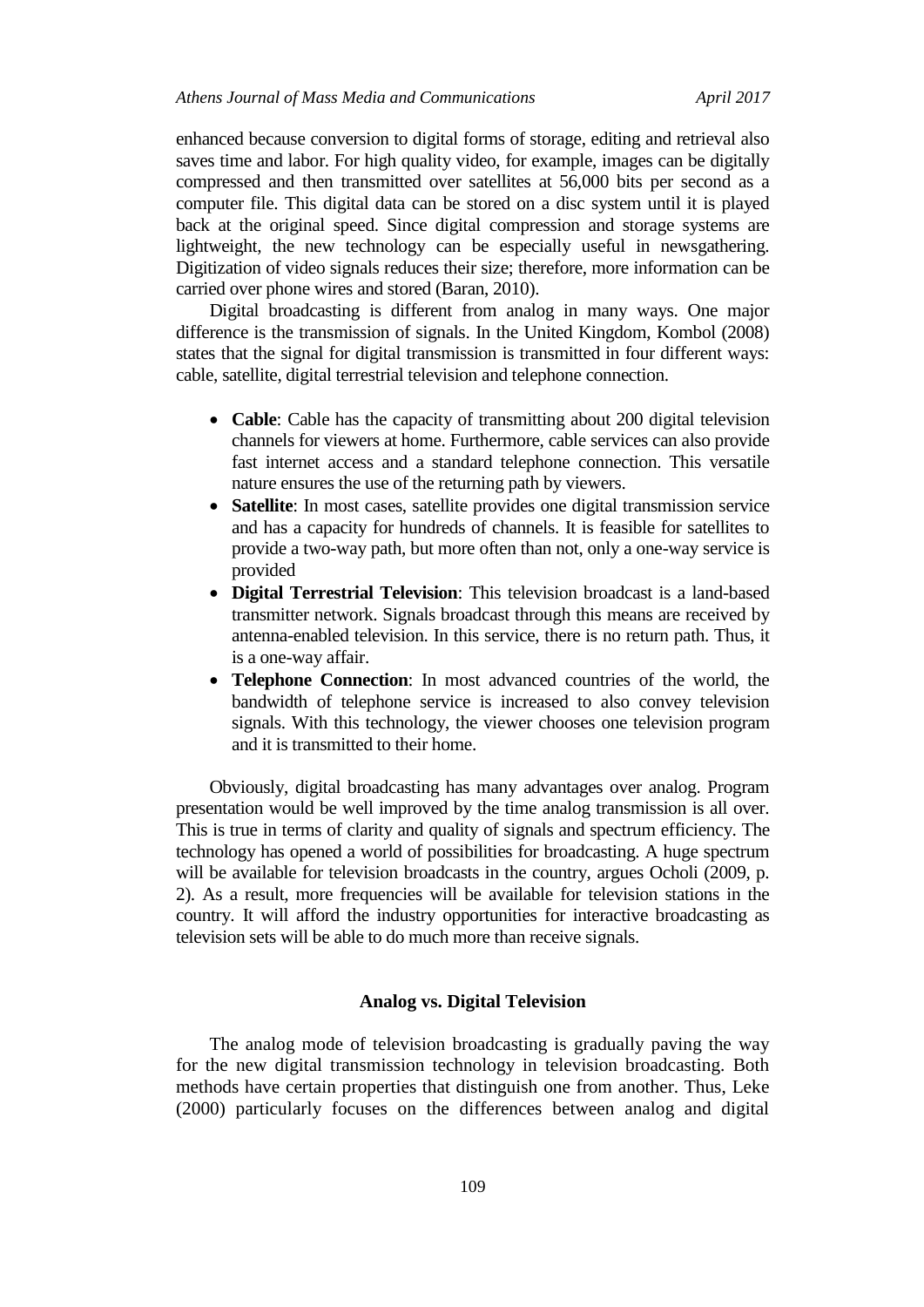enhanced because conversion to digital forms of storage, editing and retrieval also saves time and labor. For high quality video, for example, images can be digitally compressed and then transmitted over satellites at 56,000 bits per second as a computer file. This digital data can be stored on a disc system until it is played back at the original speed. Since digital compression and storage systems are lightweight, the new technology can be especially useful in newsgathering. Digitization of video signals reduces their size; therefore, more information can be carried over phone wires and stored (Baran, 2010).

Digital broadcasting is different from analog in many ways. One major difference is the transmission of signals. In the United Kingdom, Kombol (2008) states that the signal for digital transmission is transmitted in four different ways: cable, satellite, digital terrestrial television and telephone connection.

- **Cable**: Cable has the capacity of transmitting about 200 digital television channels for viewers at home. Furthermore, cable services can also provide fast internet access and a standard telephone connection. This versatile nature ensures the use of the returning path by viewers.
- **Satellite**: In most cases, satellite provides one digital transmission service and has a capacity for hundreds of channels. It is feasible for satellites to provide a two-way path, but more often than not, only a one-way service is provided
- **Digital Terrestrial Television**: This television broadcast is a land-based transmitter network. Signals broadcast through this means are received by antenna-enabled television. In this service, there is no return path. Thus, it is a one-way affair.
- **Telephone Connection**: In most advanced countries of the world, the bandwidth of telephone service is increased to also convey television signals. With this technology, the viewer chooses one television program and it is transmitted to their home.

Obviously, digital broadcasting has many advantages over analog. Program presentation would be well improved by the time analog transmission is all over. This is true in terms of clarity and quality of signals and spectrum efficiency. The technology has opened a world of possibilities for broadcasting. A huge spectrum will be available for television broadcasts in the country, argues Ocholi (2009, p. 2). As a result, more frequencies will be available for television stations in the country. It will afford the industry opportunities for interactive broadcasting as television sets will be able to do much more than receive signals.

#### **Analog vs. Digital Television**

The analog mode of television broadcasting is gradually paving the way for the new digital transmission technology in television broadcasting. Both methods have certain properties that distinguish one from another. Thus, Leke (2000) particularly focuses on the differences between analog and digital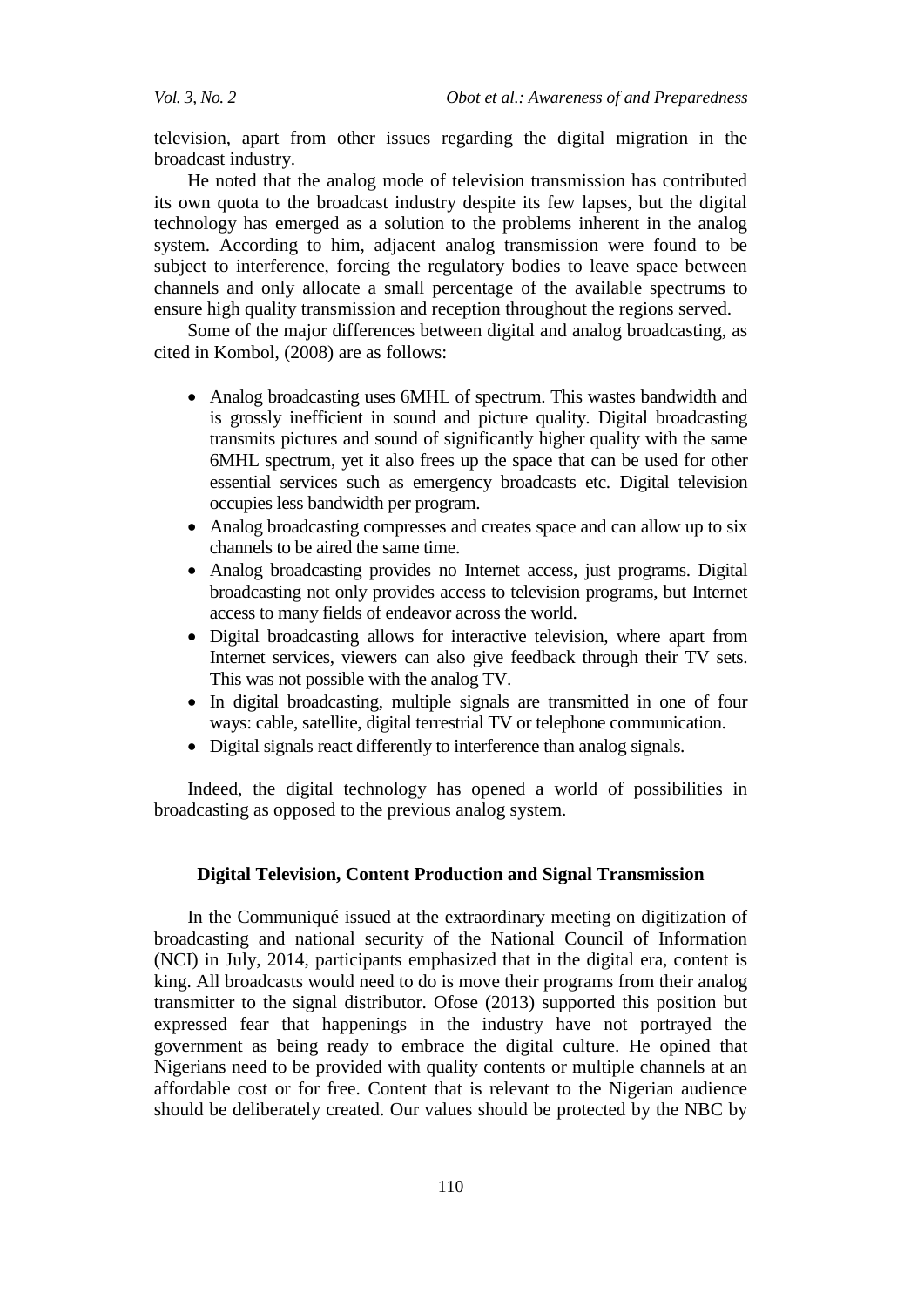television, apart from other issues regarding the digital migration in the broadcast industry.

He noted that the analog mode of television transmission has contributed its own quota to the broadcast industry despite its few lapses, but the digital technology has emerged as a solution to the problems inherent in the analog system. According to him, adjacent analog transmission were found to be subject to interference, forcing the regulatory bodies to leave space between channels and only allocate a small percentage of the available spectrums to ensure high quality transmission and reception throughout the regions served.

Some of the major differences between digital and analog broadcasting, as cited in Kombol, (2008) are as follows:

- Analog broadcasting uses 6MHL of spectrum. This wastes bandwidth and is grossly inefficient in sound and picture quality. Digital broadcasting transmits pictures and sound of significantly higher quality with the same 6MHL spectrum, yet it also frees up the space that can be used for other essential services such as emergency broadcasts etc. Digital television occupies less bandwidth per program.
- Analog broadcasting compresses and creates space and can allow up to six channels to be aired the same time.
- Analog broadcasting provides no Internet access, just programs. Digital broadcasting not only provides access to television programs, but Internet access to many fields of endeavor across the world.
- Digital broadcasting allows for interactive television, where apart from Internet services, viewers can also give feedback through their TV sets. This was not possible with the analog TV.
- In digital broadcasting, multiple signals are transmitted in one of four ways: cable, satellite, digital terrestrial TV or telephone communication.
- Digital signals react differently to interference than analog signals.

Indeed, the digital technology has opened a world of possibilities in broadcasting as opposed to the previous analog system.

#### **Digital Television, Content Production and Signal Transmission**

In the Communiqué issued at the extraordinary meeting on digitization of broadcasting and national security of the National Council of Information (NCI) in July, 2014, participants emphasized that in the digital era, content is king. All broadcasts would need to do is move their programs from their analog transmitter to the signal distributor. Ofose (2013) supported this position but expressed fear that happenings in the industry have not portrayed the government as being ready to embrace the digital culture. He opined that Nigerians need to be provided with quality contents or multiple channels at an affordable cost or for free. Content that is relevant to the Nigerian audience should be deliberately created. Our values should be protected by the NBC by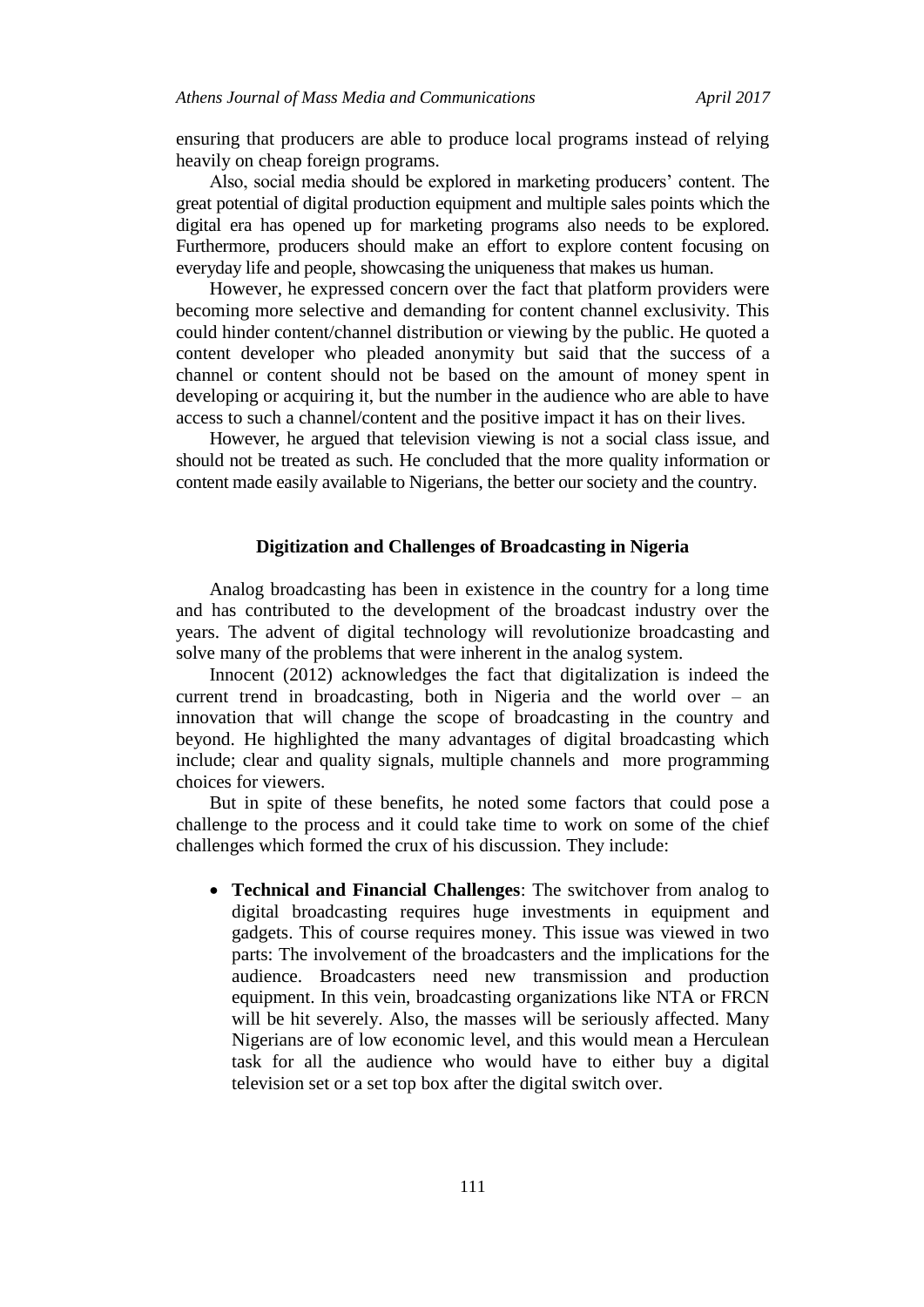ensuring that producers are able to produce local programs instead of relying heavily on cheap foreign programs.

Also, social media should be explored in marketing producers' content. The great potential of digital production equipment and multiple sales points which the digital era has opened up for marketing programs also needs to be explored. Furthermore, producers should make an effort to explore content focusing on everyday life and people, showcasing the uniqueness that makes us human.

However, he expressed concern over the fact that platform providers were becoming more selective and demanding for content channel exclusivity. This could hinder content/channel distribution or viewing by the public. He quoted a content developer who pleaded anonymity but said that the success of a channel or content should not be based on the amount of money spent in developing or acquiring it, but the number in the audience who are able to have access to such a channel/content and the positive impact it has on their lives.

However, he argued that television viewing is not a social class issue, and should not be treated as such. He concluded that the more quality information or content made easily available to Nigerians, the better our society and the country.

#### **Digitization and Challenges of Broadcasting in Nigeria**

Analog broadcasting has been in existence in the country for a long time and has contributed to the development of the broadcast industry over the years. The advent of digital technology will revolutionize broadcasting and solve many of the problems that were inherent in the analog system.

Innocent (2012) acknowledges the fact that digitalization is indeed the current trend in broadcasting, both in Nigeria and the world over – an innovation that will change the scope of broadcasting in the country and beyond. He highlighted the many advantages of digital broadcasting which include; clear and quality signals, multiple channels and more programming choices for viewers.

But in spite of these benefits, he noted some factors that could pose a challenge to the process and it could take time to work on some of the chief challenges which formed the crux of his discussion. They include:

 **Technical and Financial Challenges**: The switchover from analog to digital broadcasting requires huge investments in equipment and gadgets. This of course requires money. This issue was viewed in two parts: The involvement of the broadcasters and the implications for the audience. Broadcasters need new transmission and production equipment. In this vein, broadcasting organizations like NTA or FRCN will be hit severely. Also, the masses will be seriously affected. Many Nigerians are of low economic level, and this would mean a Herculean task for all the audience who would have to either buy a digital television set or a set top box after the digital switch over.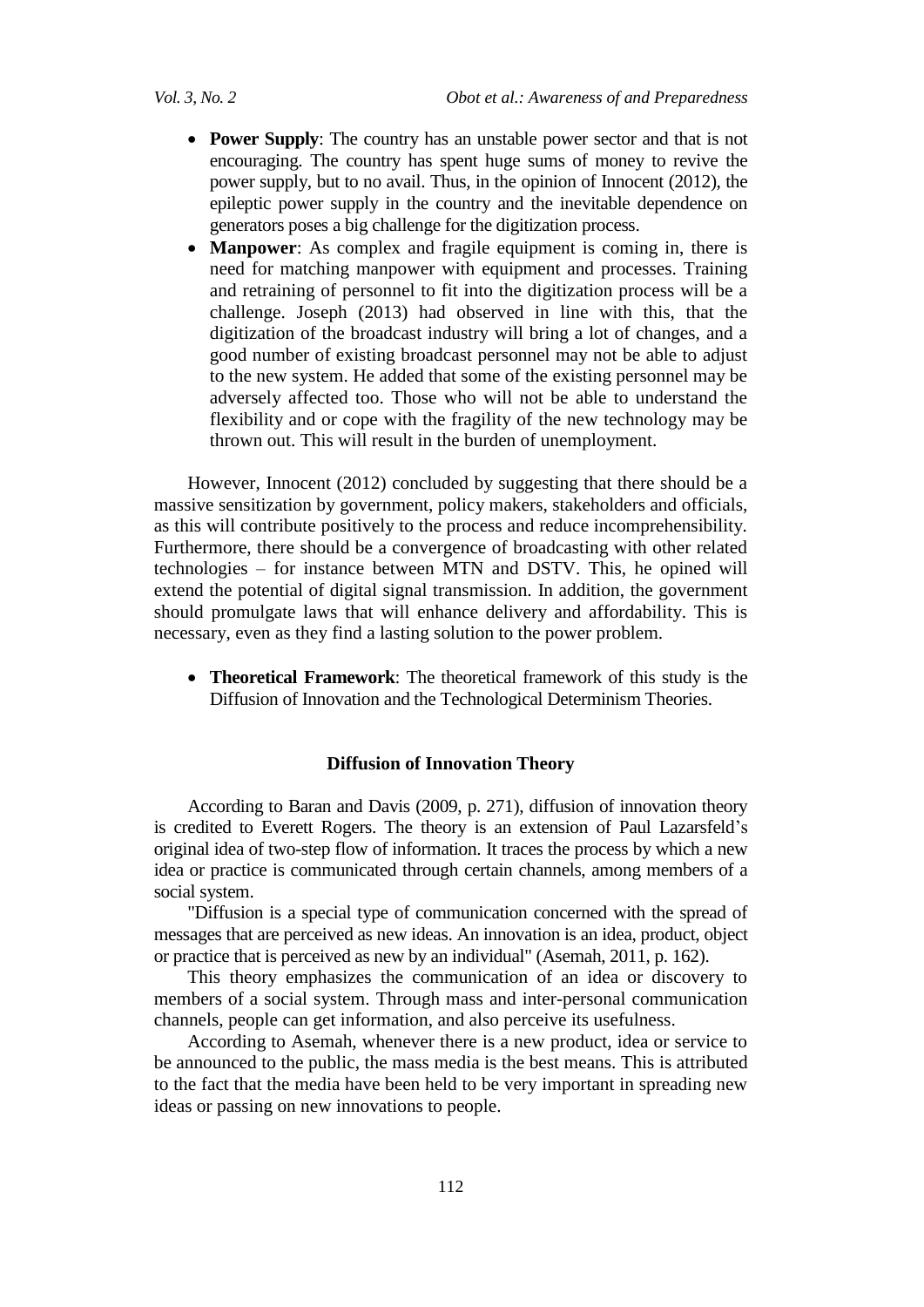- **Power Supply**: The country has an unstable power sector and that is not encouraging. The country has spent huge sums of money to revive the power supply, but to no avail. Thus, in the opinion of Innocent (2012), the epileptic power supply in the country and the inevitable dependence on generators poses a big challenge for the digitization process.
- **Manpower**: As complex and fragile equipment is coming in, there is need for matching manpower with equipment and processes. Training and retraining of personnel to fit into the digitization process will be a challenge. Joseph (2013) had observed in line with this, that the digitization of the broadcast industry will bring a lot of changes, and a good number of existing broadcast personnel may not be able to adjust to the new system. He added that some of the existing personnel may be adversely affected too. Those who will not be able to understand the flexibility and or cope with the fragility of the new technology may be thrown out. This will result in the burden of unemployment.

However, Innocent (2012) concluded by suggesting that there should be a massive sensitization by government, policy makers, stakeholders and officials, as this will contribute positively to the process and reduce incomprehensibility. Furthermore, there should be a convergence of broadcasting with other related technologies – for instance between MTN and DSTV. This, he opined will extend the potential of digital signal transmission. In addition, the government should promulgate laws that will enhance delivery and affordability. This is necessary, even as they find a lasting solution to the power problem.

 **Theoretical Framework**: The theoretical framework of this study is the Diffusion of Innovation and the Technological Determinism Theories.

#### **Diffusion of Innovation Theory**

According to Baran and Davis (2009, p. 271), diffusion of innovation theory is credited to Everett Rogers. The theory is an extension of Paul Lazarsfeld's original idea of two-step flow of information. It traces the process by which a new idea or practice is communicated through certain channels, among members of a social system.

"Diffusion is a special type of communication concerned with the spread of messages that are perceived as new ideas. An innovation is an idea, product, object or practice that is perceived as new by an individual" (Asemah, 2011, p. 162).

This theory emphasizes the communication of an idea or discovery to members of a social system. Through mass and inter-personal communication channels, people can get information, and also perceive its usefulness.

According to Asemah, whenever there is a new product, idea or service to be announced to the public, the mass media is the best means. This is attributed to the fact that the media have been held to be very important in spreading new ideas or passing on new innovations to people.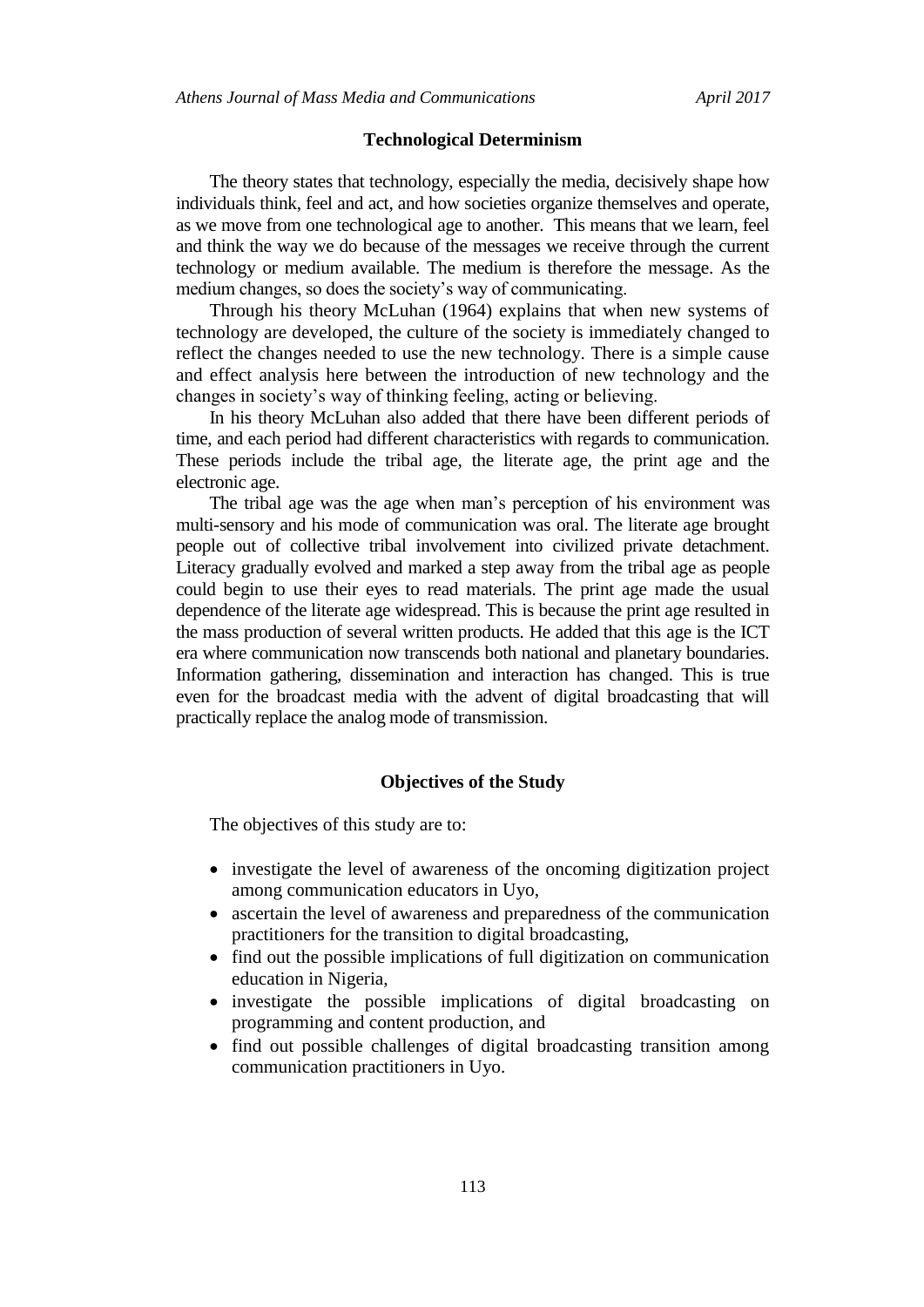#### **Technological Determinism**

The theory states that technology, especially the media, decisively shape how individuals think, feel and act, and how societies organize themselves and operate, as we move from one technological age to another. This means that we learn, feel and think the way we do because of the messages we receive through the current technology or medium available. The medium is therefore the message. As the medium changes, so does the society's way of communicating.

Through his theory McLuhan (1964) explains that when new systems of technology are developed, the culture of the society is immediately changed to reflect the changes needed to use the new technology. There is a simple cause and effect analysis here between the introduction of new technology and the changes in society's way of thinking feeling, acting or believing.

In his theory McLuhan also added that there have been different periods of time, and each period had different characteristics with regards to communication. These periods include the tribal age, the literate age, the print age and the electronic age.

The tribal age was the age when man's perception of his environment was multi-sensory and his mode of communication was oral. The literate age brought people out of collective tribal involvement into civilized private detachment. Literacy gradually evolved and marked a step away from the tribal age as people could begin to use their eyes to read materials. The print age made the usual dependence of the literate age widespread. This is because the print age resulted in the mass production of several written products. He added that this age is the ICT era where communication now transcends both national and planetary boundaries. Information gathering, dissemination and interaction has changed. This is true even for the broadcast media with the advent of digital broadcasting that will practically replace the analog mode of transmission.

#### **Objectives of the Study**

The objectives of this study are to:

- investigate the level of awareness of the oncoming digitization project among communication educators in Uyo,
- ascertain the level of awareness and preparedness of the communication practitioners for the transition to digital broadcasting,
- find out the possible implications of full digitization on communication education in Nigeria,
- investigate the possible implications of digital broadcasting on programming and content production, and
- find out possible challenges of digital broadcasting transition among communication practitioners in Uyo.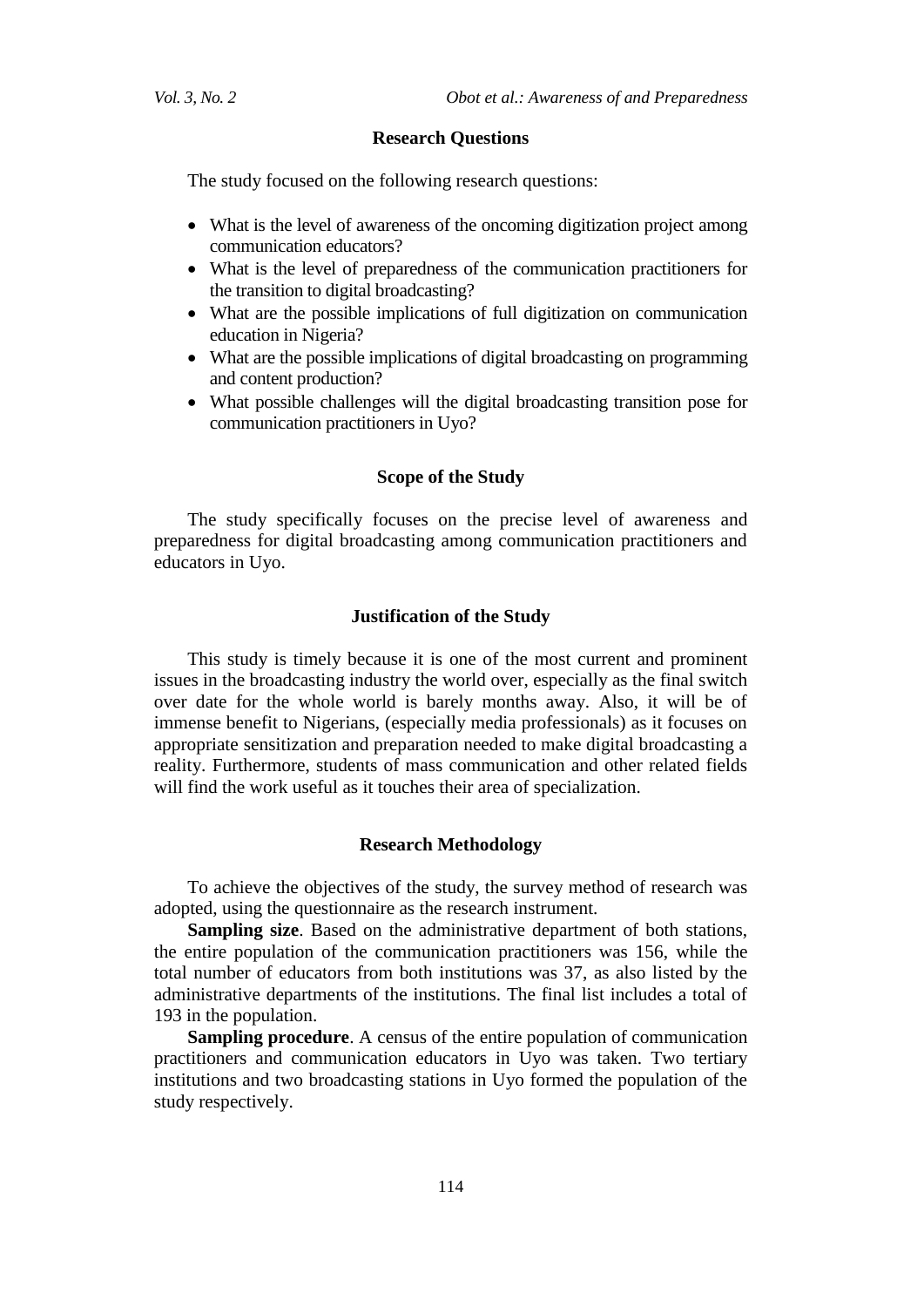#### **Research Questions**

The study focused on the following research questions:

- What is the level of awareness of the oncoming digitization project among communication educators?
- What is the level of preparedness of the communication practitioners for the transition to digital broadcasting?
- What are the possible implications of full digitization on communication education in Nigeria?
- What are the possible implications of digital broadcasting on programming and content production?
- What possible challenges will the digital broadcasting transition pose for communication practitioners in Uyo?

#### **Scope of the Study**

The study specifically focuses on the precise level of awareness and preparedness for digital broadcasting among communication practitioners and educators in Uyo.

#### **Justification of the Study**

This study is timely because it is one of the most current and prominent issues in the broadcasting industry the world over, especially as the final switch over date for the whole world is barely months away. Also, it will be of immense benefit to Nigerians, (especially media professionals) as it focuses on appropriate sensitization and preparation needed to make digital broadcasting a reality. Furthermore, students of mass communication and other related fields will find the work useful as it touches their area of specialization.

#### **Research Methodology**

To achieve the objectives of the study, the survey method of research was adopted, using the questionnaire as the research instrument.

**Sampling size**. Based on the administrative department of both stations, the entire population of the communication practitioners was 156, while the total number of educators from both institutions was 37, as also listed by the administrative departments of the institutions. The final list includes a total of 193 in the population.

**Sampling procedure**. A census of the entire population of communication practitioners and communication educators in Uyo was taken. Two tertiary institutions and two broadcasting stations in Uyo formed the population of the study respectively.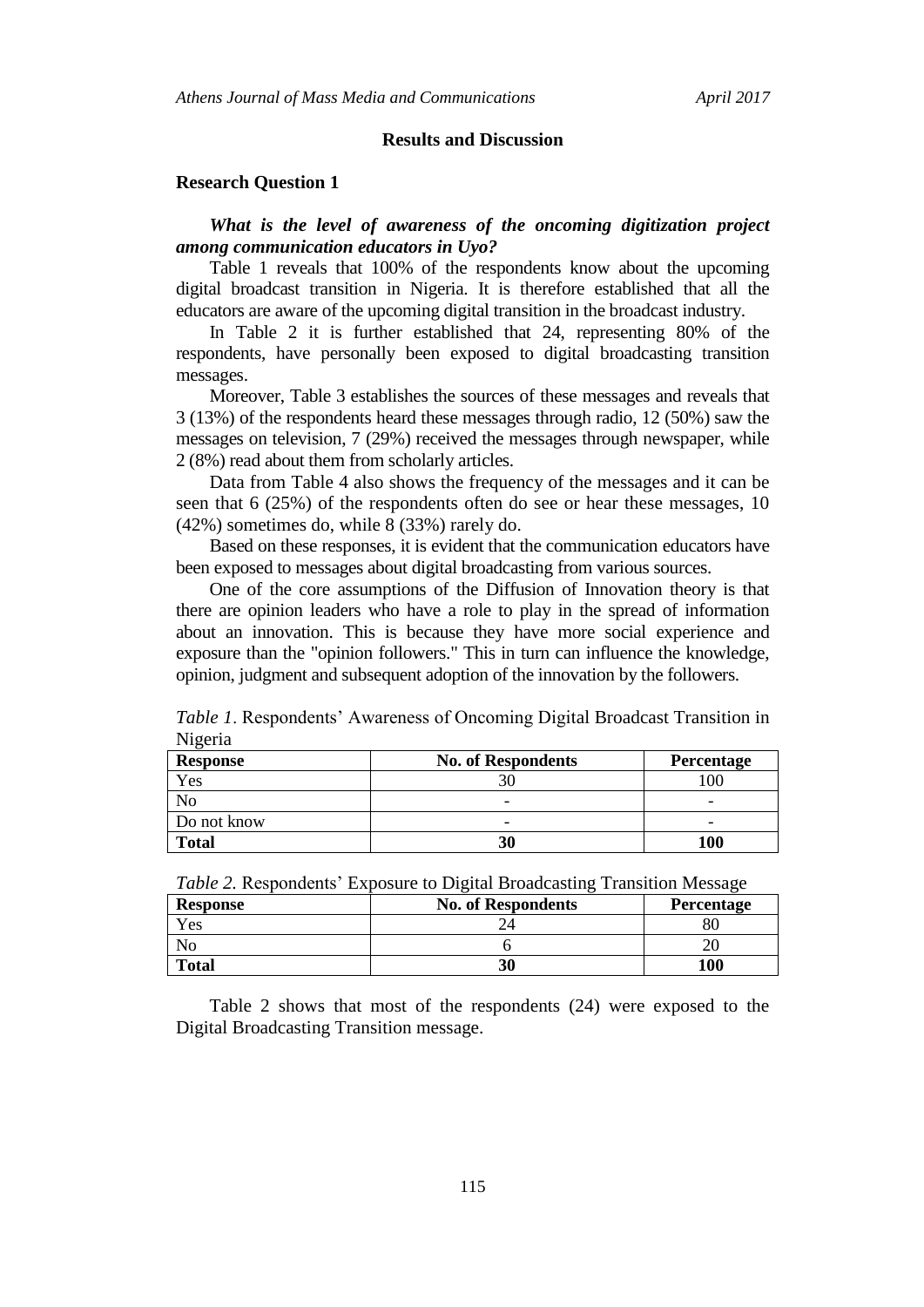#### **Results and Discussion**

#### **Research Question 1**

## *What is the level of awareness of the oncoming digitization project among communication educators in Uyo?*

Table 1 reveals that 100% of the respondents know about the upcoming digital broadcast transition in Nigeria. It is therefore established that all the educators are aware of the upcoming digital transition in the broadcast industry.

In Table 2 it is further established that 24, representing 80% of the respondents, have personally been exposed to digital broadcasting transition messages.

Moreover, Table 3 establishes the sources of these messages and reveals that 3 (13%) of the respondents heard these messages through radio, 12 (50%) saw the messages on television, 7 (29%) received the messages through newspaper, while 2 (8%) read about them from scholarly articles.

Data from Table 4 also shows the frequency of the messages and it can be seen that 6 (25%) of the respondents often do see or hear these messages, 10 (42%) sometimes do, while 8 (33%) rarely do.

Based on these responses, it is evident that the communication educators have been exposed to messages about digital broadcasting from various sources.

One of the core assumptions of the Diffusion of Innovation theory is that there are opinion leaders who have a role to play in the spread of information about an innovation. This is because they have more social experience and exposure than the "opinion followers." This in turn can influence the knowledge, opinion, judgment and subsequent adoption of the innovation by the followers.

| <i>Table 1.</i> Respondents' Awareness of Oncoming Digital Broadcast Transition in |  |  |
|------------------------------------------------------------------------------------|--|--|
| Nigeria                                                                            |  |  |
| <b>No. of Respondents</b><br><b>Response</b><br><b>Percentage</b>                  |  |  |
|                                                                                    |  |  |

| <b>Response</b> | <b>No. of Respondents</b> | <b>Percentage</b> |
|-----------------|---------------------------|-------------------|
| Yes             |                           | 100               |
|                 | $\overline{\phantom{0}}$  | -                 |
| Do not know     | -                         | -                 |
| <b>Total</b>    | 30                        | 100               |

| <i>Table 2.</i> Respondents' Exposure to Digital Broadcasting Transition Message |                           |                   |
|----------------------------------------------------------------------------------|---------------------------|-------------------|
| <b>Response</b>                                                                  | <b>No. of Respondents</b> | <b>Percentage</b> |
| Yes                                                                              |                           |                   |
| N <sub>0</sub>                                                                   |                           |                   |
| <b>Total</b>                                                                     | 30                        | 100               |

*Table 2.* Respondents' Exposure to Digital Broadcasting Transition Message

Table 2 shows that most of the respondents (24) were exposed to the Digital Broadcasting Transition message.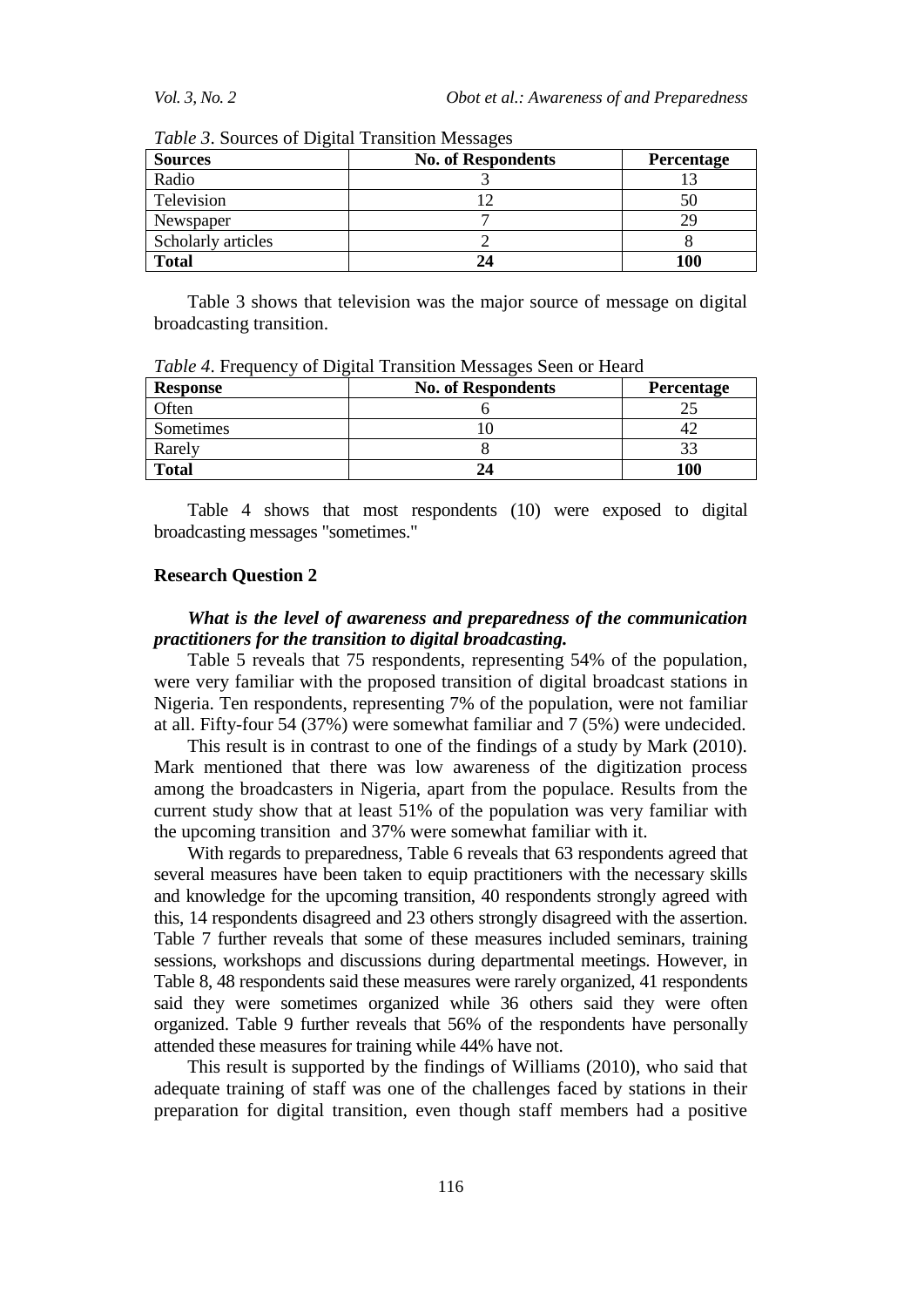| <b>Sources</b>     | <b>No. of Respondents</b> | Percentage |
|--------------------|---------------------------|------------|
| Radio              |                           |            |
| Television         |                           |            |
| Newspaper          |                           | 29         |
| Scholarly articles |                           |            |
| <b>Total</b>       |                           | 100        |

*Table 3*. Sources of Digital Transition Messages

Table 3 shows that television was the major source of message on digital broadcasting transition.

| <b>Response</b> | <b>No. of Respondents</b> | Percentage |
|-----------------|---------------------------|------------|
| Often           |                           |            |
| Sometimes       |                           |            |
| Rarely          |                           |            |
| <b>Total</b>    |                           | 100        |

*Table 4*. Frequency of Digital Transition Messages Seen or Heard

Table 4 shows that most respondents (10) were exposed to digital broadcasting messages "sometimes."

#### **Research Question 2**

## *What is the level of awareness and preparedness of the communication practitioners for the transition to digital broadcasting.*

Table 5 reveals that 75 respondents, representing 54% of the population, were very familiar with the proposed transition of digital broadcast stations in Nigeria. Ten respondents, representing 7% of the population, were not familiar at all. Fifty-four 54 (37%) were somewhat familiar and 7 (5%) were undecided.

This result is in contrast to one of the findings of a study by Mark (2010). Mark mentioned that there was low awareness of the digitization process among the broadcasters in Nigeria, apart from the populace. Results from the current study show that at least 51% of the population was very familiar with the upcoming transition and 37% were somewhat familiar with it.

With regards to preparedness, Table 6 reveals that 63 respondents agreed that several measures have been taken to equip practitioners with the necessary skills and knowledge for the upcoming transition, 40 respondents strongly agreed with this, 14 respondents disagreed and 23 others strongly disagreed with the assertion. Table 7 further reveals that some of these measures included seminars, training sessions, workshops and discussions during departmental meetings. However, in Table 8, 48 respondents said these measures were rarely organized, 41 respondents said they were sometimes organized while 36 others said they were often organized. Table 9 further reveals that 56% of the respondents have personally attended these measures for training while 44% have not.

This result is supported by the findings of Williams (2010), who said that adequate training of staff was one of the challenges faced by stations in their preparation for digital transition, even though staff members had a positive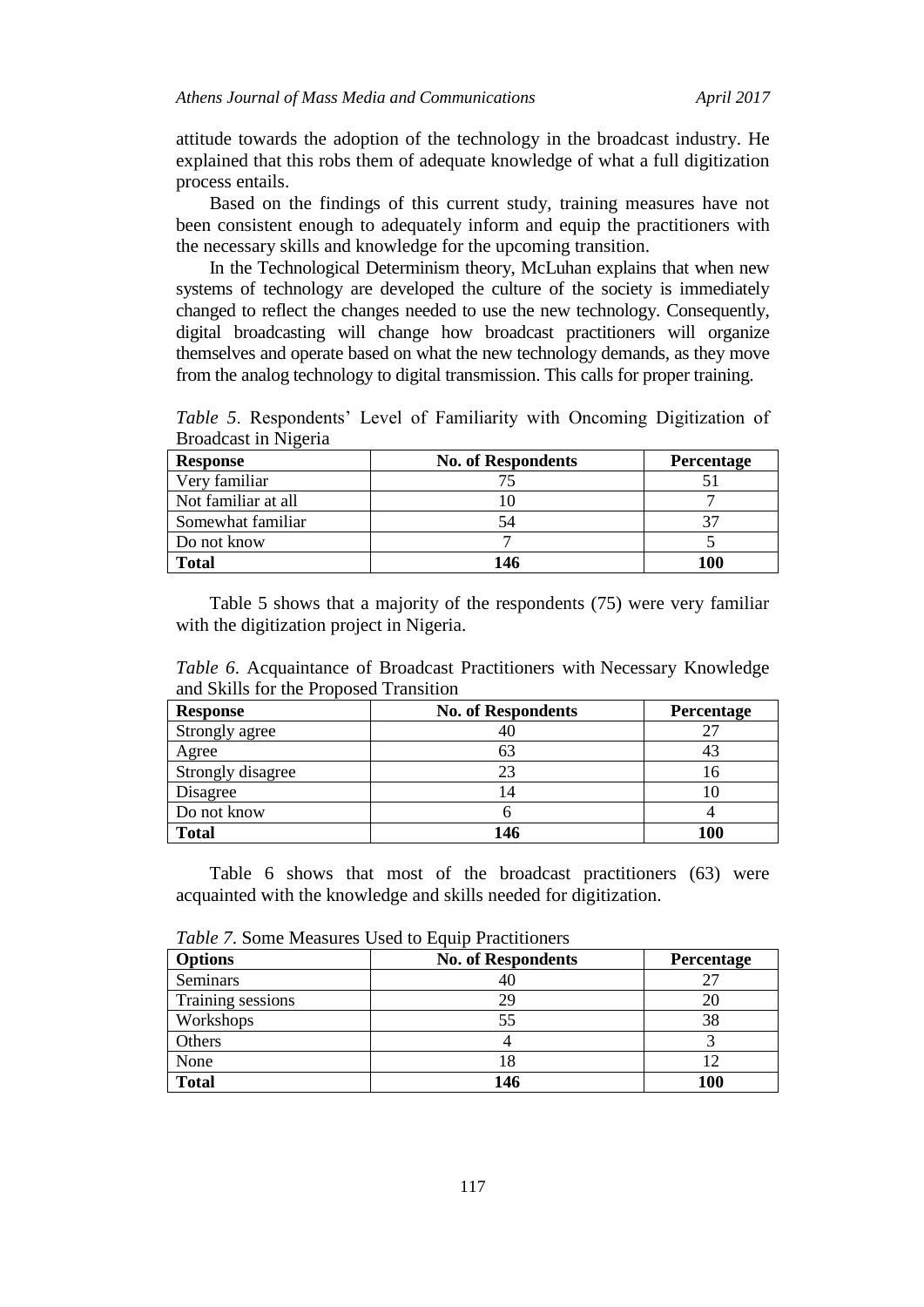attitude towards the adoption of the technology in the broadcast industry. He explained that this robs them of adequate knowledge of what a full digitization process entails.

Based on the findings of this current study, training measures have not been consistent enough to adequately inform and equip the practitioners with the necessary skills and knowledge for the upcoming transition.

In the Technological Determinism theory, McLuhan explains that when new systems of technology are developed the culture of the society is immediately changed to reflect the changes needed to use the new technology. Consequently, digital broadcasting will change how broadcast practitioners will organize themselves and operate based on what the new technology demands, as they move from the analog technology to digital transmission. This calls for proper training.

*Table 5*. Respondents' Level of Familiarity with Oncoming Digitization of Broadcast in Nigeria

| <b>Response</b>     | <b>No. of Respondents</b> | <b>Percentage</b> |
|---------------------|---------------------------|-------------------|
| Very familiar       |                           |                   |
| Not familiar at all |                           |                   |
| Somewhat familiar   |                           | 37                |
| Do not know         |                           |                   |
| Total               | 146                       | 100               |

Table 5 shows that a majority of the respondents (75) were very familiar with the digitization project in Nigeria.

*Table 6*. Acquaintance of Broadcast Practitioners with Necessary Knowledge and Skills for the Proposed Transition

| <b>Response</b>   | <b>No. of Respondents</b> | Percentage |
|-------------------|---------------------------|------------|
| Strongly agree    |                           | 27         |
| Agree             |                           | 43         |
| Strongly disagree | 23                        | 16         |
| Disagree          |                           |            |
| Do not know       |                           |            |
| <b>Total</b>      | 146                       | 100        |

Table 6 shows that most of the broadcast practitioners (63) were acquainted with the knowledge and skills needed for digitization.

| <b>Options</b>    | <b>No. of Respondents</b> | Percentage |
|-------------------|---------------------------|------------|
| Seminars          | 4U                        |            |
| Training sessions | 29                        | 20         |
| Workshops         | 55                        | 38         |
| Others            |                           |            |
| None              | 18                        |            |
| <b>Total</b>      | 146                       | 100        |

*Table 7.* Some Measures Used to Equip Practitioners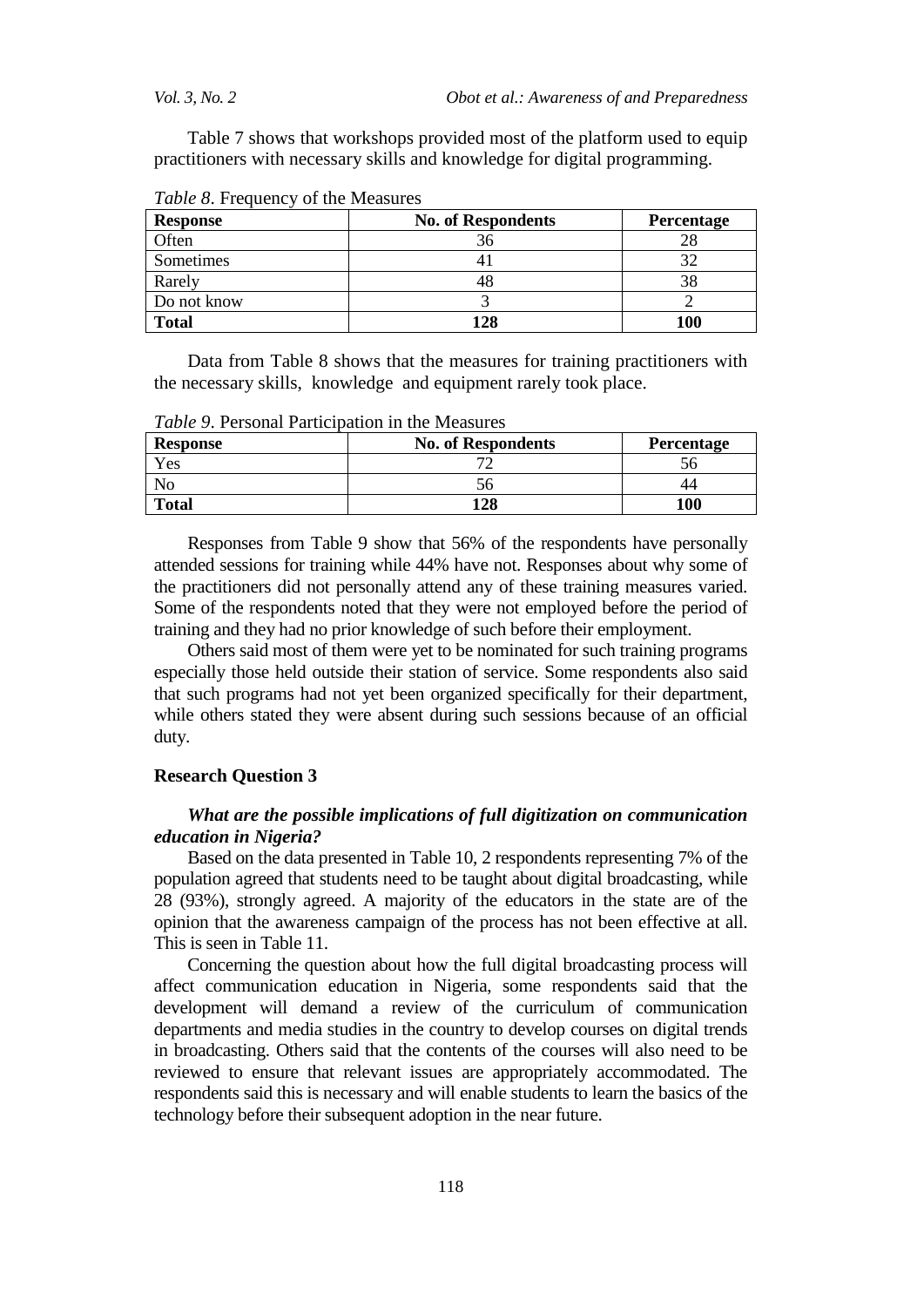Table 7 shows that workshops provided most of the platform used to equip practitioners with necessary skills and knowledge for digital programming.

| <b>Response</b> | <b>No. of Respondents</b> | Percentage |
|-----------------|---------------------------|------------|
| Often           |                           |            |
| Sometimes       |                           |            |
| Rarely          |                           |            |
| Do not know     |                           |            |
| <b>Total</b>    | .29                       | 100        |

*Table 8.* Frequency of the Measures

Data from Table 8 shows that the measures for training practitioners with the necessary skills, knowledge and equipment rarely took place.

**Response No. of Respondents Percentage** Yes 72 56 No 36 56 44 **Total 128 100**

*Table 9*. Personal Participation in the Measures

Responses from Table 9 show that 56% of the respondents have personally attended sessions for training while 44% have not. Responses about why some of the practitioners did not personally attend any of these training measures varied. Some of the respondents noted that they were not employed before the period of training and they had no prior knowledge of such before their employment.

Others said most of them were yet to be nominated for such training programs especially those held outside their station of service. Some respondents also said that such programs had not yet been organized specifically for their department, while others stated they were absent during such sessions because of an official duty.

#### **Research Question 3**

## *What are the possible implications of full digitization on communication education in Nigeria?*

Based on the data presented in Table 10, 2 respondents representing 7% of the population agreed that students need to be taught about digital broadcasting, while 28 (93%), strongly agreed. A majority of the educators in the state are of the opinion that the awareness campaign of the process has not been effective at all. This is seen in Table 11.

Concerning the question about how the full digital broadcasting process will affect communication education in Nigeria, some respondents said that the development will demand a review of the curriculum of communication departments and media studies in the country to develop courses on digital trends in broadcasting. Others said that the contents of the courses will also need to be reviewed to ensure that relevant issues are appropriately accommodated. The respondents said this is necessary and will enable students to learn the basics of the technology before their subsequent adoption in the near future.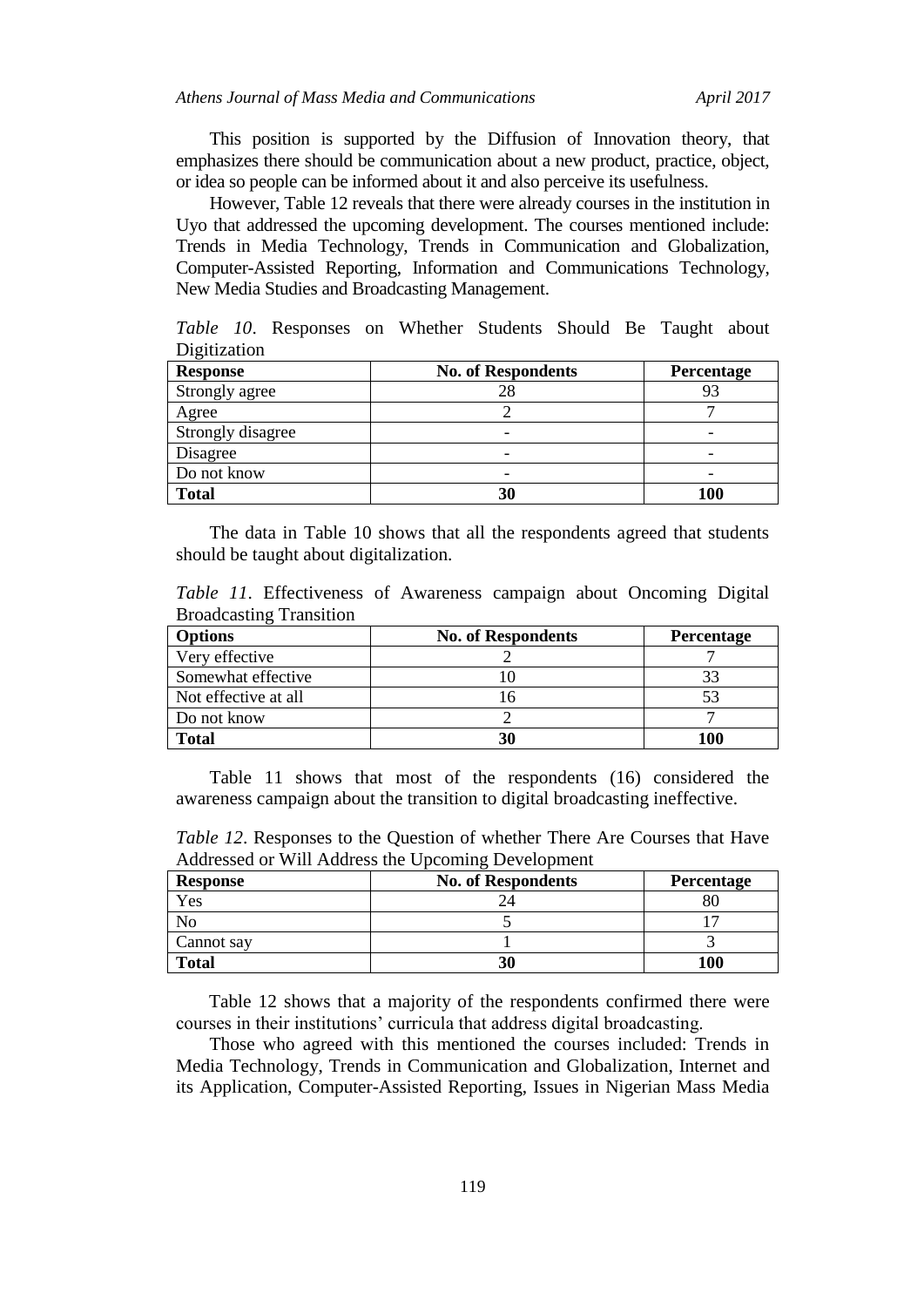This position is supported by the Diffusion of Innovation theory, that emphasizes there should be communication about a new product, practice, object, or idea so people can be informed about it and also perceive its usefulness.

However, Table 12 reveals that there were already courses in the institution in Uyo that addressed the upcoming development. The courses mentioned include: Trends in Media Technology, Trends in Communication and Globalization, Computer-Assisted Reporting, Information and Communications Technology, New Media Studies and Broadcasting Management.

*Table 10*. Responses on Whether Students Should Be Taught about Digitization

| <b>Response</b>   | <b>No. of Respondents</b> | Percentage |
|-------------------|---------------------------|------------|
| Strongly agree    |                           | 93         |
| Agree             |                           |            |
| Strongly disagree |                           |            |
| Disagree          | -                         | -          |
| Do not know       | -                         |            |
| <b>Total</b>      | 30                        | 100        |

The data in Table 10 shows that all the respondents agreed that students should be taught about digitalization.

*Table 11*. Effectiveness of Awareness campaign about Oncoming Digital Broadcasting Transition

| <b>Options</b>       | <b>No. of Respondents</b> | Percentage |
|----------------------|---------------------------|------------|
| Very effective       |                           |            |
| Somewhat effective   |                           | 33         |
| Not effective at all |                           | 53         |
| Do not know          |                           |            |
| <b>Total</b>         |                           | 100        |

Table 11 shows that most of the respondents (16) considered the awareness campaign about the transition to digital broadcasting ineffective.

*Table 12*. Responses to the Question of whether There Are Courses that Have Addressed or Will Address the Upcoming Development

| <b>Response</b> | <b>No. of Respondents</b> | <b>Percentage</b> |
|-----------------|---------------------------|-------------------|
| Yes             |                           |                   |
|                 |                           |                   |
| Cannot say      |                           |                   |
| <b>Total</b>    |                           | 100               |

Table 12 shows that a majority of the respondents confirmed there were courses in their institutions' curricula that address digital broadcasting.

Those who agreed with this mentioned the courses included: Trends in Media Technology, Trends in Communication and Globalization, Internet and its Application, Computer-Assisted Reporting, Issues in Nigerian Mass Media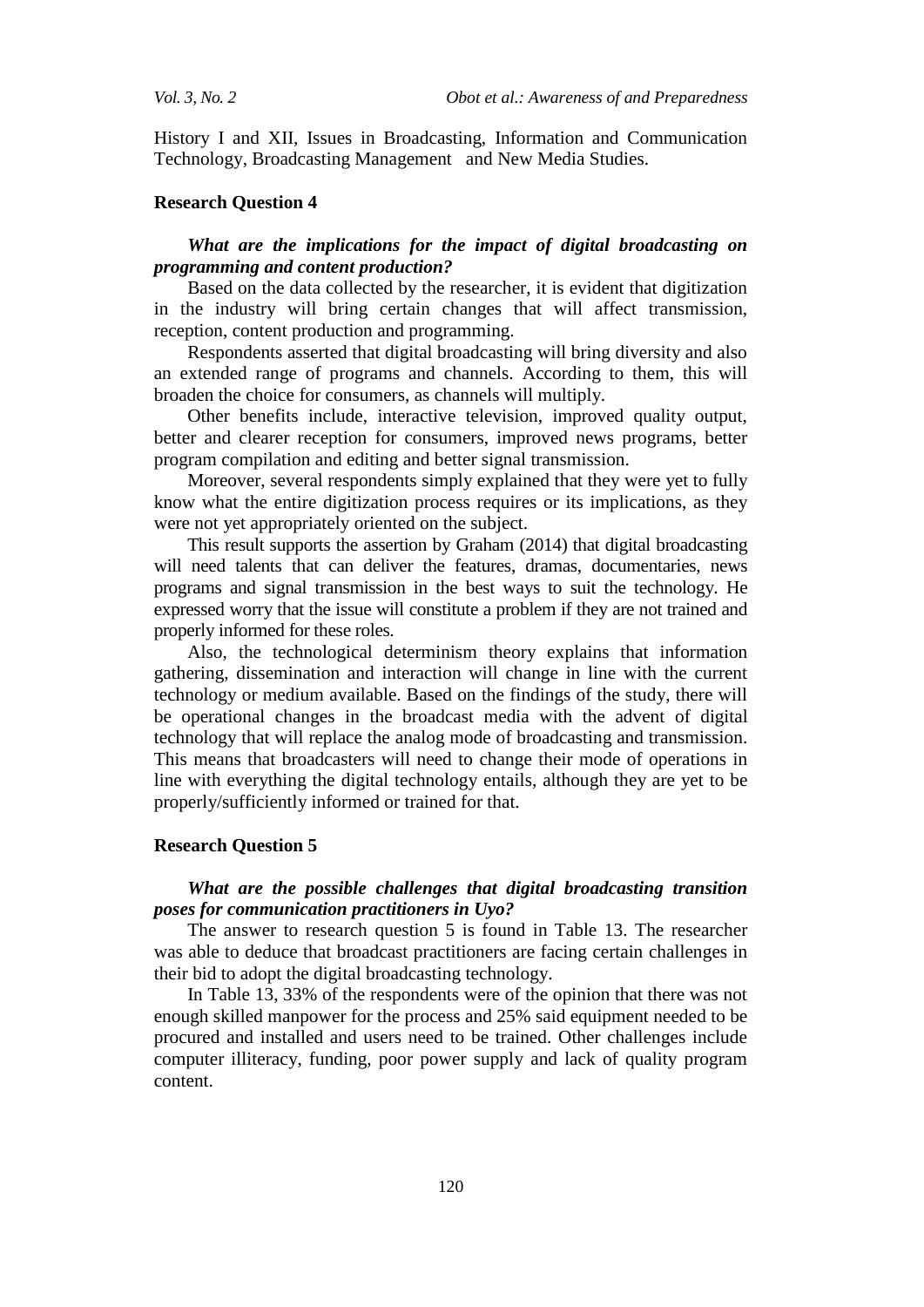History I and XII, Issues in Broadcasting, Information and Communication Technology, Broadcasting Management and New Media Studies.

#### **Research Question 4**

## *What are the implications for the impact of digital broadcasting on programming and content production?*

Based on the data collected by the researcher, it is evident that digitization in the industry will bring certain changes that will affect transmission, reception, content production and programming.

Respondents asserted that digital broadcasting will bring diversity and also an extended range of programs and channels. According to them, this will broaden the choice for consumers, as channels will multiply.

Other benefits include, interactive television, improved quality output, better and clearer reception for consumers, improved news programs, better program compilation and editing and better signal transmission.

Moreover, several respondents simply explained that they were yet to fully know what the entire digitization process requires or its implications, as they were not yet appropriately oriented on the subject.

This result supports the assertion by Graham (2014) that digital broadcasting will need talents that can deliver the features, dramas, documentaries, news programs and signal transmission in the best ways to suit the technology. He expressed worry that the issue will constitute a problem if they are not trained and properly informed for these roles.

Also, the technological determinism theory explains that information gathering, dissemination and interaction will change in line with the current technology or medium available. Based on the findings of the study, there will be operational changes in the broadcast media with the advent of digital technology that will replace the analog mode of broadcasting and transmission. This means that broadcasters will need to change their mode of operations in line with everything the digital technology entails, although they are yet to be properly/sufficiently informed or trained for that.

#### **Research Question 5**

## *What are the possible challenges that digital broadcasting transition poses for communication practitioners in Uyo?*

The answer to research question 5 is found in Table 13. The researcher was able to deduce that broadcast practitioners are facing certain challenges in their bid to adopt the digital broadcasting technology.

In Table 13, 33% of the respondents were of the opinion that there was not enough skilled manpower for the process and 25% said equipment needed to be procured and installed and users need to be trained. Other challenges include computer illiteracy, funding, poor power supply and lack of quality program content.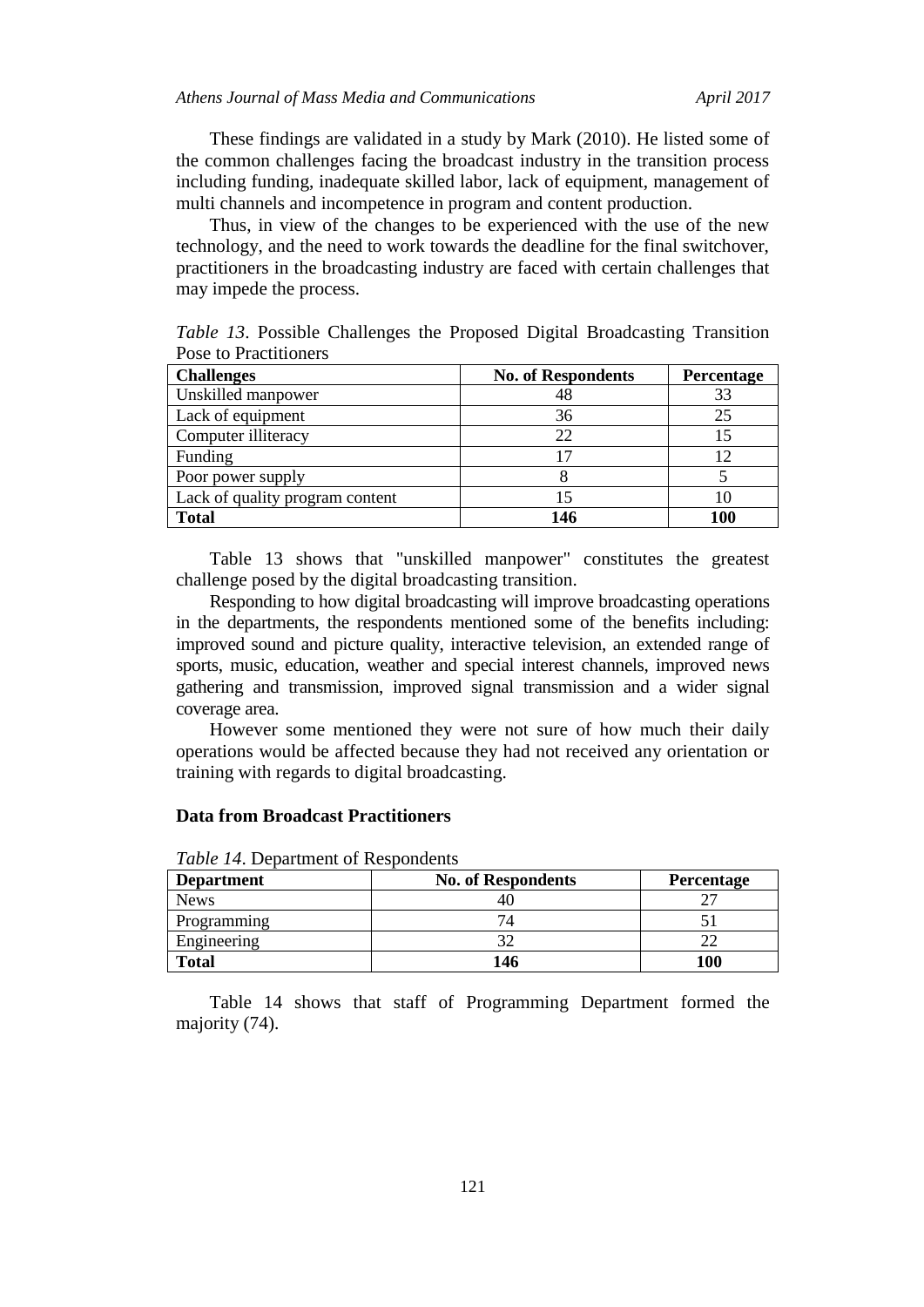These findings are validated in a study by Mark (2010). He listed some of the common challenges facing the broadcast industry in the transition process including funding, inadequate skilled labor, lack of equipment, management of multi channels and incompetence in program and content production.

Thus, in view of the changes to be experienced with the use of the new technology, and the need to work towards the deadline for the final switchover, practitioners in the broadcasting industry are faced with certain challenges that may impede the process.

*Table 13*. Possible Challenges the Proposed Digital Broadcasting Transition Pose to Practitioners

| <b>Challenges</b>               | <b>No. of Respondents</b> | Percentage |
|---------------------------------|---------------------------|------------|
| Unskilled manpower              | 48                        | 33         |
| Lack of equipment               | 36                        | 25         |
| Computer illiteracy             | 22                        |            |
| Funding                         |                           | 12         |
| Poor power supply               |                           |            |
| Lack of quality program content |                           | Ю          |
| <b>Total</b>                    | 146                       | 100        |

Table 13 shows that "unskilled manpower" constitutes the greatest challenge posed by the digital broadcasting transition.

Responding to how digital broadcasting will improve broadcasting operations in the departments, the respondents mentioned some of the benefits including: improved sound and picture quality, interactive television, an extended range of sports, music, education, weather and special interest channels, improved news gathering and transmission, improved signal transmission and a wider signal coverage area.

However some mentioned they were not sure of how much their daily operations would be affected because they had not received any orientation or training with regards to digital broadcasting.

## **Data from Broadcast Practitioners**

| <b>Department</b> | <b>No. of Respondents</b> | <b>Percentage</b> |
|-------------------|---------------------------|-------------------|
| <b>News</b>       |                           |                   |
| Programming       |                           |                   |
| Engineering       |                           |                   |
| <b>Total</b>      | 146                       | 100               |

*Table 14*. Department of Respondents

Table 14 shows that staff of Programming Department formed the majority (74).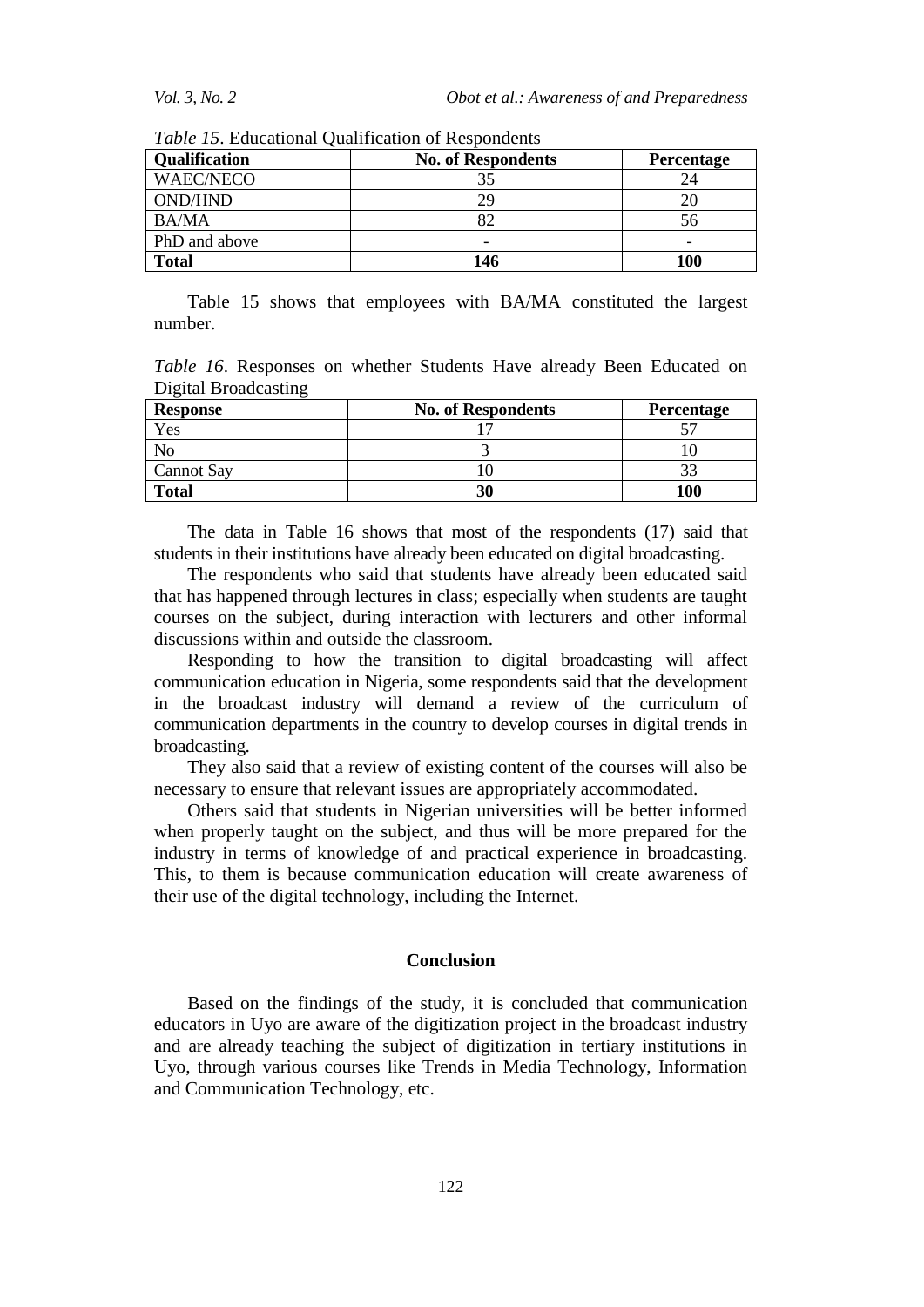| <b>Qualification</b> | <b>No. of Respondents</b> | <b>Percentage</b> |
|----------------------|---------------------------|-------------------|
| <b>WAEC/NECO</b>     | 35                        | 24                |
| <b>OND/HND</b>       | 29                        | 20                |
| <b>BA/MA</b>         |                           | 56                |
| PhD and above        | -                         | -                 |
| Total                | 146                       | 100               |

*Table 15*. Educational Qualification of Respondents

Table 15 shows that employees with BA/MA constituted the largest number.

*Table 16*. Responses on whether Students Have already Been Educated on Digital Broadcasting

| <b>Response</b>   | <b>No. of Respondents</b> | Percentage |
|-------------------|---------------------------|------------|
| Yes               |                           |            |
|                   |                           |            |
| <b>Cannot Say</b> |                           | 22         |
| <b>Total</b>      | 30                        | 100        |

The data in Table 16 shows that most of the respondents (17) said that students in their institutions have already been educated on digital broadcasting.

The respondents who said that students have already been educated said that has happened through lectures in class; especially when students are taught courses on the subject, during interaction with lecturers and other informal discussions within and outside the classroom.

Responding to how the transition to digital broadcasting will affect communication education in Nigeria, some respondents said that the development in the broadcast industry will demand a review of the curriculum of communication departments in the country to develop courses in digital trends in broadcasting.

They also said that a review of existing content of the courses will also be necessary to ensure that relevant issues are appropriately accommodated.

Others said that students in Nigerian universities will be better informed when properly taught on the subject, and thus will be more prepared for the industry in terms of knowledge of and practical experience in broadcasting. This, to them is because communication education will create awareness of their use of the digital technology, including the Internet.

### **Conclusion**

Based on the findings of the study, it is concluded that communication educators in Uyo are aware of the digitization project in the broadcast industry and are already teaching the subject of digitization in tertiary institutions in Uyo, through various courses like Trends in Media Technology, Information and Communication Technology, etc.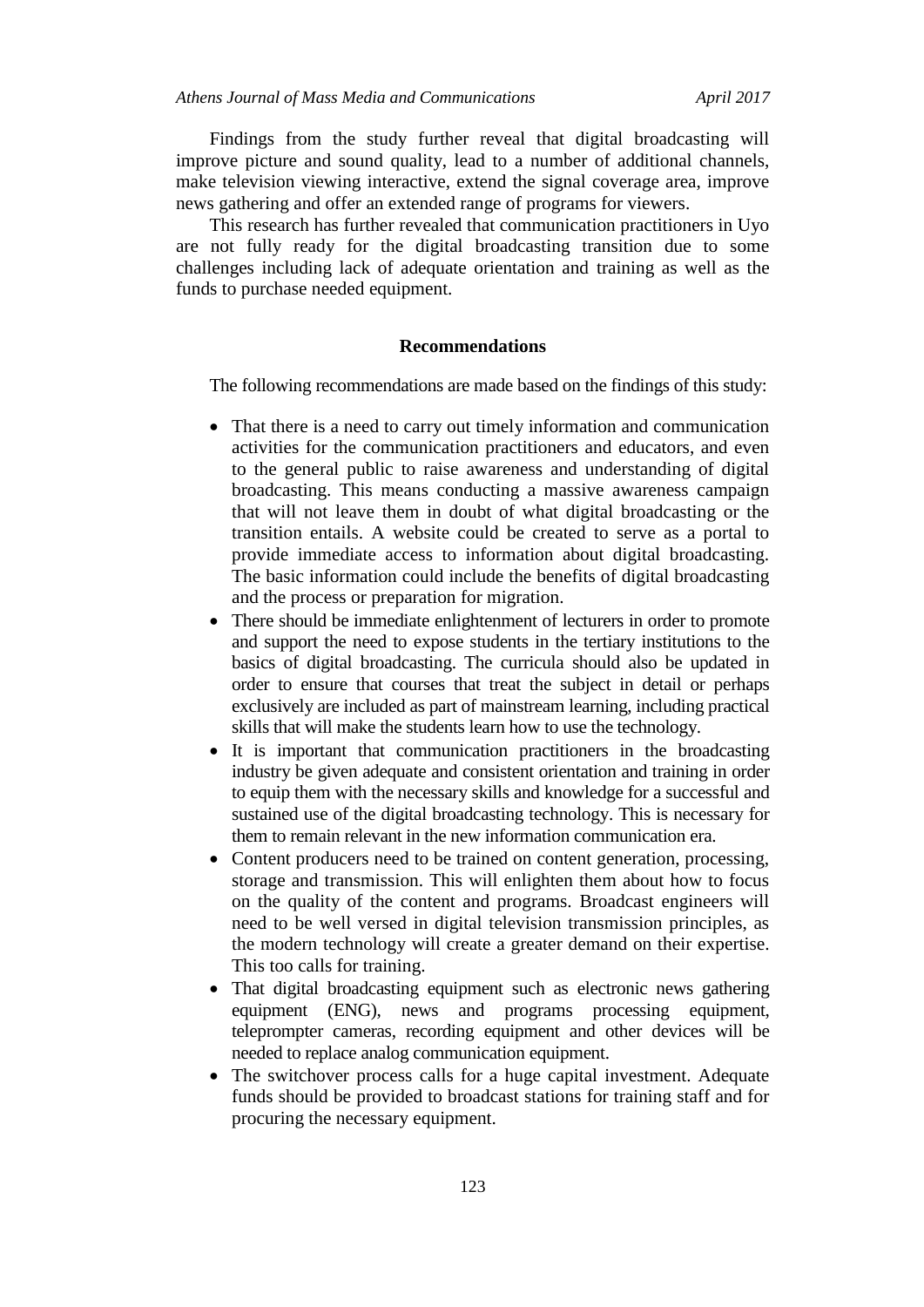Findings from the study further reveal that digital broadcasting will improve picture and sound quality, lead to a number of additional channels, make television viewing interactive, extend the signal coverage area, improve news gathering and offer an extended range of programs for viewers.

This research has further revealed that communication practitioners in Uyo are not fully ready for the digital broadcasting transition due to some challenges including lack of adequate orientation and training as well as the funds to purchase needed equipment.

#### **Recommendations**

The following recommendations are made based on the findings of this study:

- That there is a need to carry out timely information and communication activities for the communication practitioners and educators, and even to the general public to raise awareness and understanding of digital broadcasting. This means conducting a massive awareness campaign that will not leave them in doubt of what digital broadcasting or the transition entails. A website could be created to serve as a portal to provide immediate access to information about digital broadcasting. The basic information could include the benefits of digital broadcasting and the process or preparation for migration.
- There should be immediate enlightenment of lecturers in order to promote and support the need to expose students in the tertiary institutions to the basics of digital broadcasting. The curricula should also be updated in order to ensure that courses that treat the subject in detail or perhaps exclusively are included as part of mainstream learning, including practical skills that will make the students learn how to use the technology.
- It is important that communication practitioners in the broadcasting industry be given adequate and consistent orientation and training in order to equip them with the necessary skills and knowledge for a successful and sustained use of the digital broadcasting technology. This is necessary for them to remain relevant in the new information communication era.
- Content producers need to be trained on content generation, processing, storage and transmission. This will enlighten them about how to focus on the quality of the content and programs. Broadcast engineers will need to be well versed in digital television transmission principles, as the modern technology will create a greater demand on their expertise. This too calls for training.
- That digital broadcasting equipment such as electronic news gathering equipment (ENG), news and programs processing equipment, teleprompter cameras, recording equipment and other devices will be needed to replace analog communication equipment.
- The switchover process calls for a huge capital investment. Adequate funds should be provided to broadcast stations for training staff and for procuring the necessary equipment.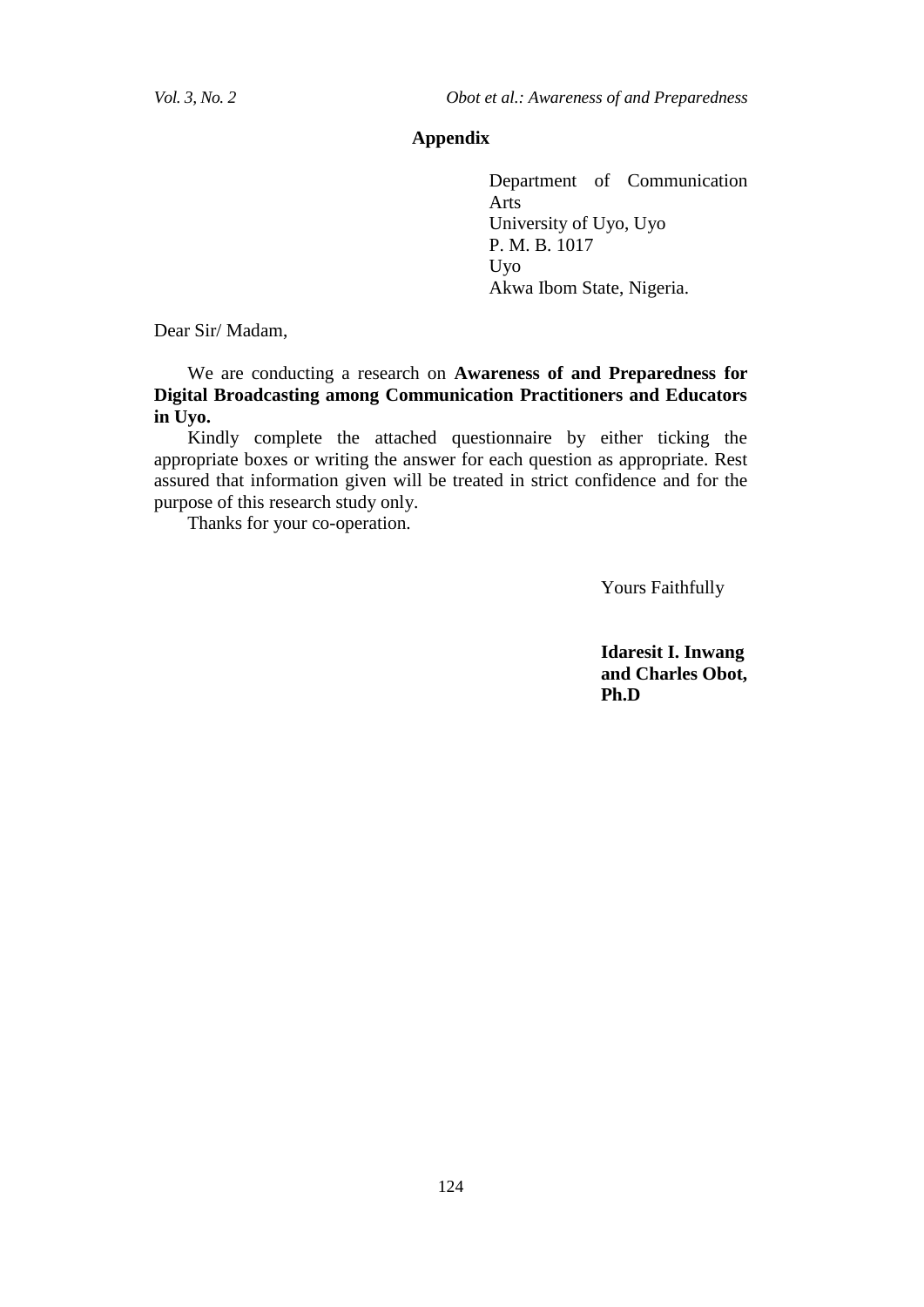## **Appendix**

Department of Communication Arts University of Uyo, Uyo P. M. B. 1017 Uyo Akwa Ibom State, Nigeria.

Dear Sir/ Madam,

We are conducting a research on **Awareness of and Preparedness for Digital Broadcasting among Communication Practitioners and Educators in Uyo.**

Kindly complete the attached questionnaire by either ticking the appropriate boxes or writing the answer for each question as appropriate. Rest assured that information given will be treated in strict confidence and for the purpose of this research study only.

Thanks for your co-operation.

Yours Faithfully

**Idaresit I. Inwang and Charles Obot, Ph.D**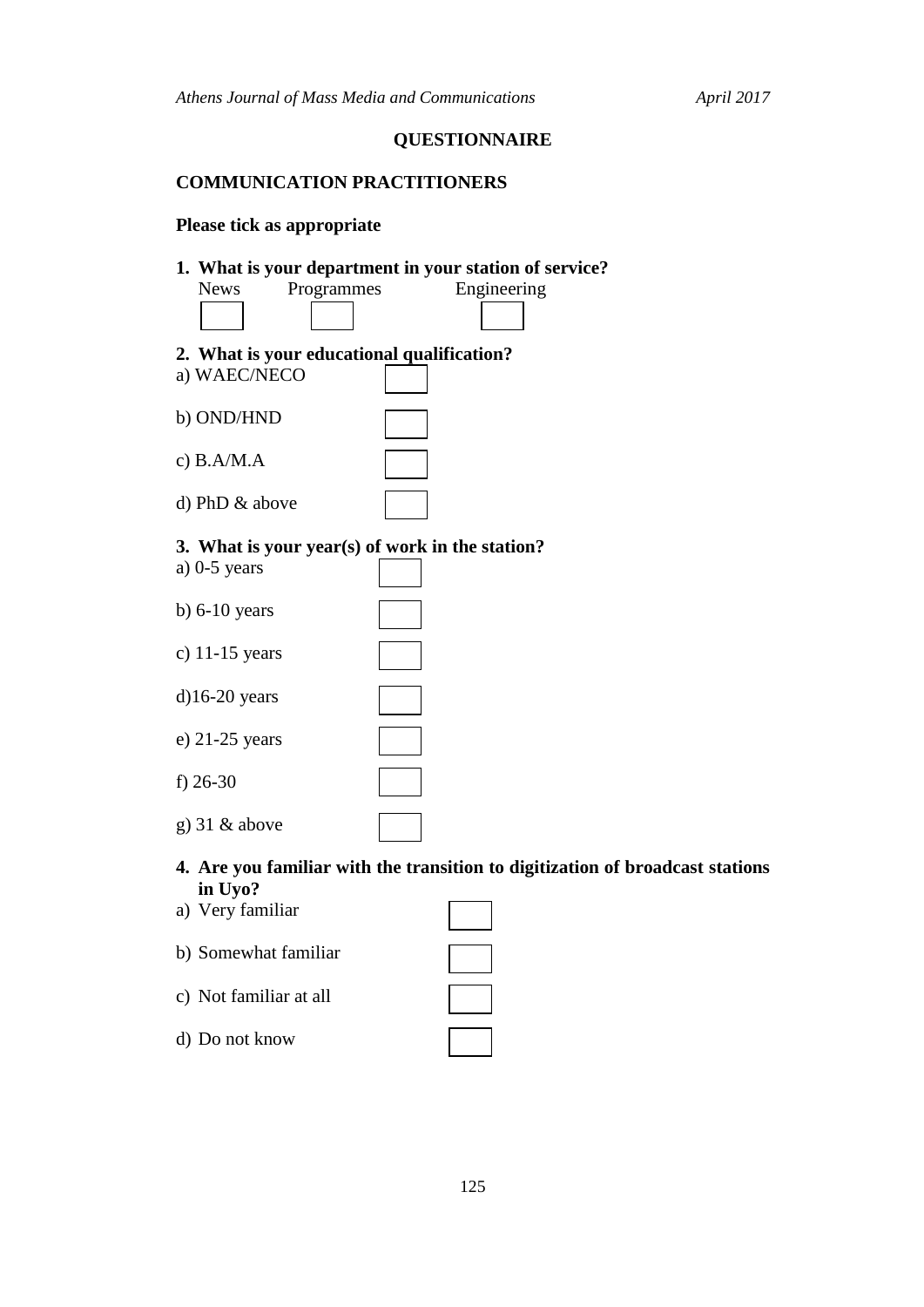# **QUESTIONNAIRE**

# **COMMUNICATION PRACTITIONERS**

# **Please tick as appropriate**

d) Do not know

| 1. What is your department in your station of service?                                   |  |
|------------------------------------------------------------------------------------------|--|
| Programmes<br>Engineering<br><b>News</b>                                                 |  |
|                                                                                          |  |
| 2. What is your educational qualification?                                               |  |
| a) WAEC/NECO                                                                             |  |
| b) OND/HND                                                                               |  |
| c) $B.A/M.A$                                                                             |  |
| d) PhD & above                                                                           |  |
| 3. What is your year(s) of work in the station?                                          |  |
| a) $0-5$ years                                                                           |  |
| b) $6-10$ years                                                                          |  |
| c) $11-15$ years                                                                         |  |
| $d$ )16-20 years                                                                         |  |
| e) $21-25$ years                                                                         |  |
| f) $26-30$                                                                               |  |
| g) $31 \&$ above                                                                         |  |
| 4. Are you familiar with the transition to digitization of broadcast stations<br>in Uyo? |  |
| a) Very familiar                                                                         |  |
| b) Somewhat familiar                                                                     |  |
| c) Not familiar at all                                                                   |  |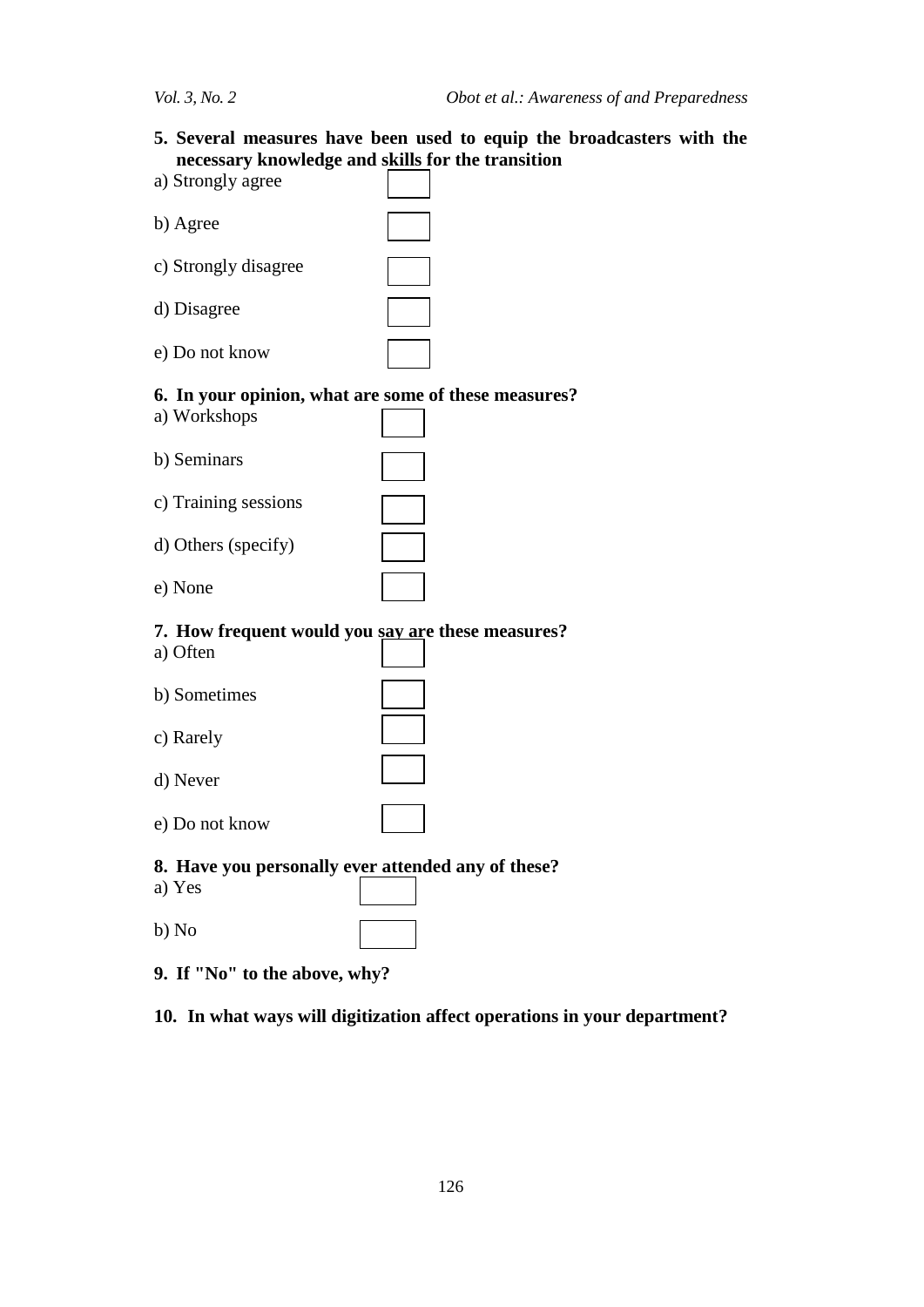**5. Several measures have been used to equip the broadcasters with the necessary knowledge and skills for the transition** 

| a) Strongly agree    |  |
|----------------------|--|
| b) Agree             |  |
| c) Strongly disagree |  |
| d) Disagree          |  |
| e) Do not know       |  |

## **6. In your opinion, what are some of these measures?**

a) Workshops

| b) Seminars          |  |
|----------------------|--|
| c) Training sessions |  |

| d) Others (specify) |  |
|---------------------|--|

e) None

# **7. How frequent would you say are these measures?**

| a) Often       |  |
|----------------|--|
| b) Sometimes   |  |
| c) Rarely      |  |
| d) Never       |  |
| e) Do not know |  |

#### **8. Have you personally ever attended any of these?**

| a) Yes |  |
|--------|--|
| b) No  |  |

**9. If "No" to the above, why?**

## **10. In what ways will digitization affect operations in your department?**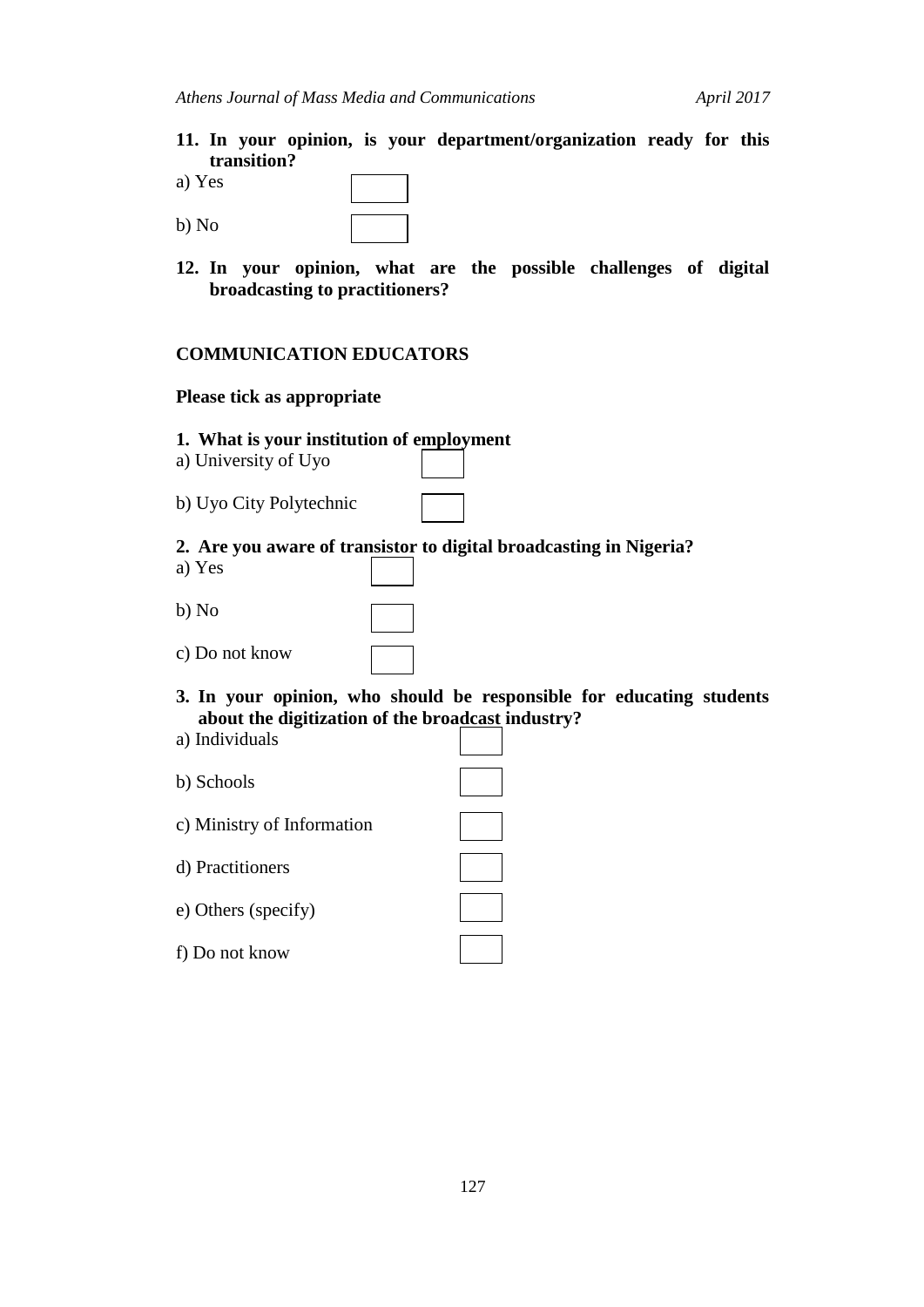- **11. In your opinion, is your department/organization ready for this transition?**
- a) Yes
- b) No
- **12. In your opinion, what are the possible challenges of digital broadcasting to practitioners?**

## **COMMUNICATION EDUCATORS**

### **Please tick as appropriate**

- **1. What is your institution of employment**
- a) University of Uyo
- b) Uyo City Polytechnic

## **2. Are you aware of transistor to digital broadcasting in Nigeria?**

- a) Yes
- b) No
- c) Do not know
- **3. In your opinion, who should be responsible for educating students about the digitization of the broadcast industry?**
- a) Individuals
- b) Schools
- c) Ministry of Information
- d) Practitioners
- e) Others (specify)
- f) Do not know

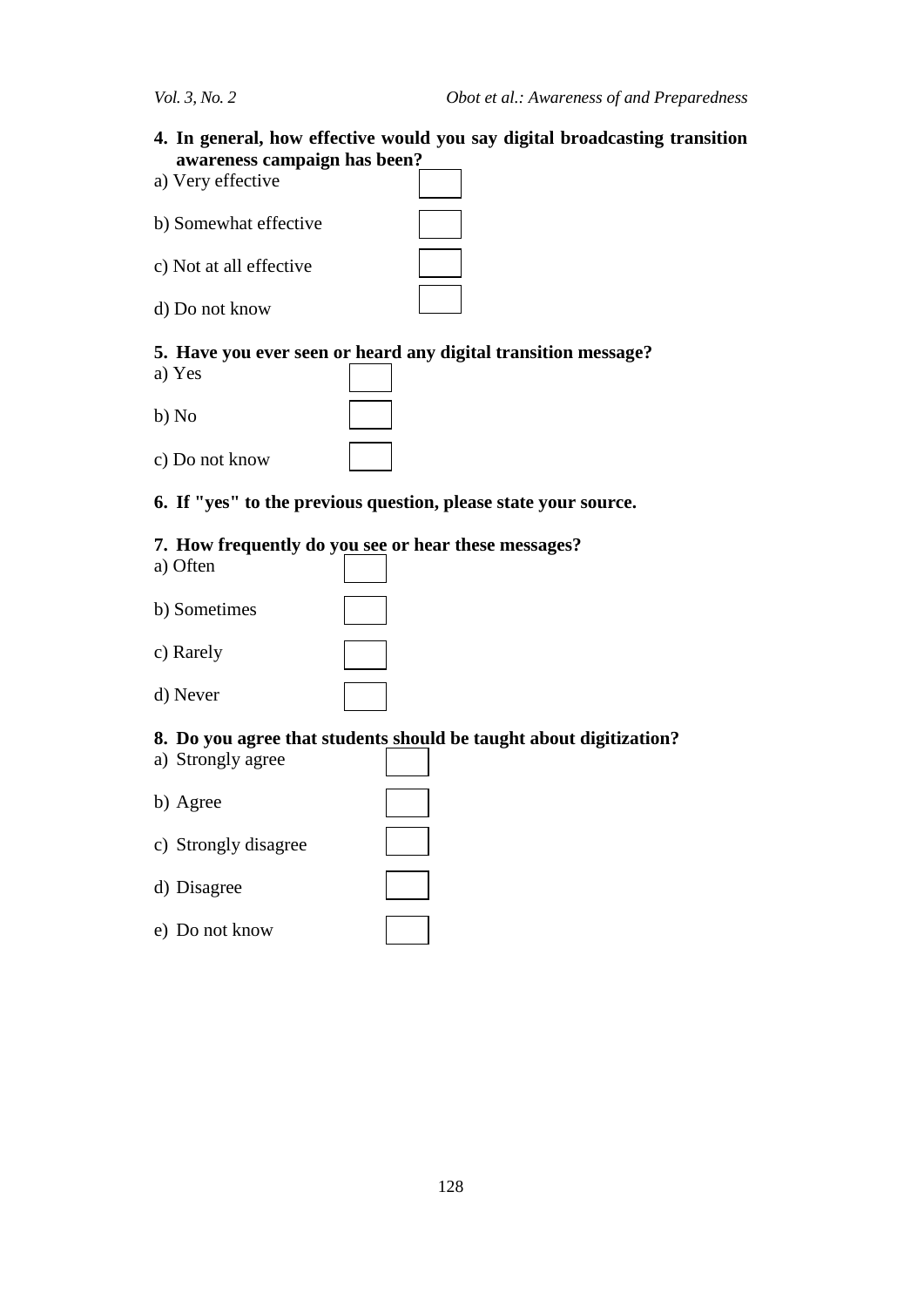**4. In general, how effective would you say digital broadcasting transition awareness campaign has been?**

| a) Very effective       |  |
|-------------------------|--|
| b) Somewhat effective   |  |
| c) Not at all effective |  |
| d) Do not know          |  |

## **5. Have you ever seen or heard any digital transition message?**

- a) Yes
- b) No
- c) Do not know

# **6. If "yes" to the previous question, please state your source.**

## **7. How frequently do you see or hear these messages?**

- a) Often
- b) Sometimes
- c) Rarely
- d) Never

## **8. Do you agree that students should be taught about digitization?**

- a) Strongly agree
- b) Agree
- c) Strongly disagree
- d) Disagree
- e) Do not know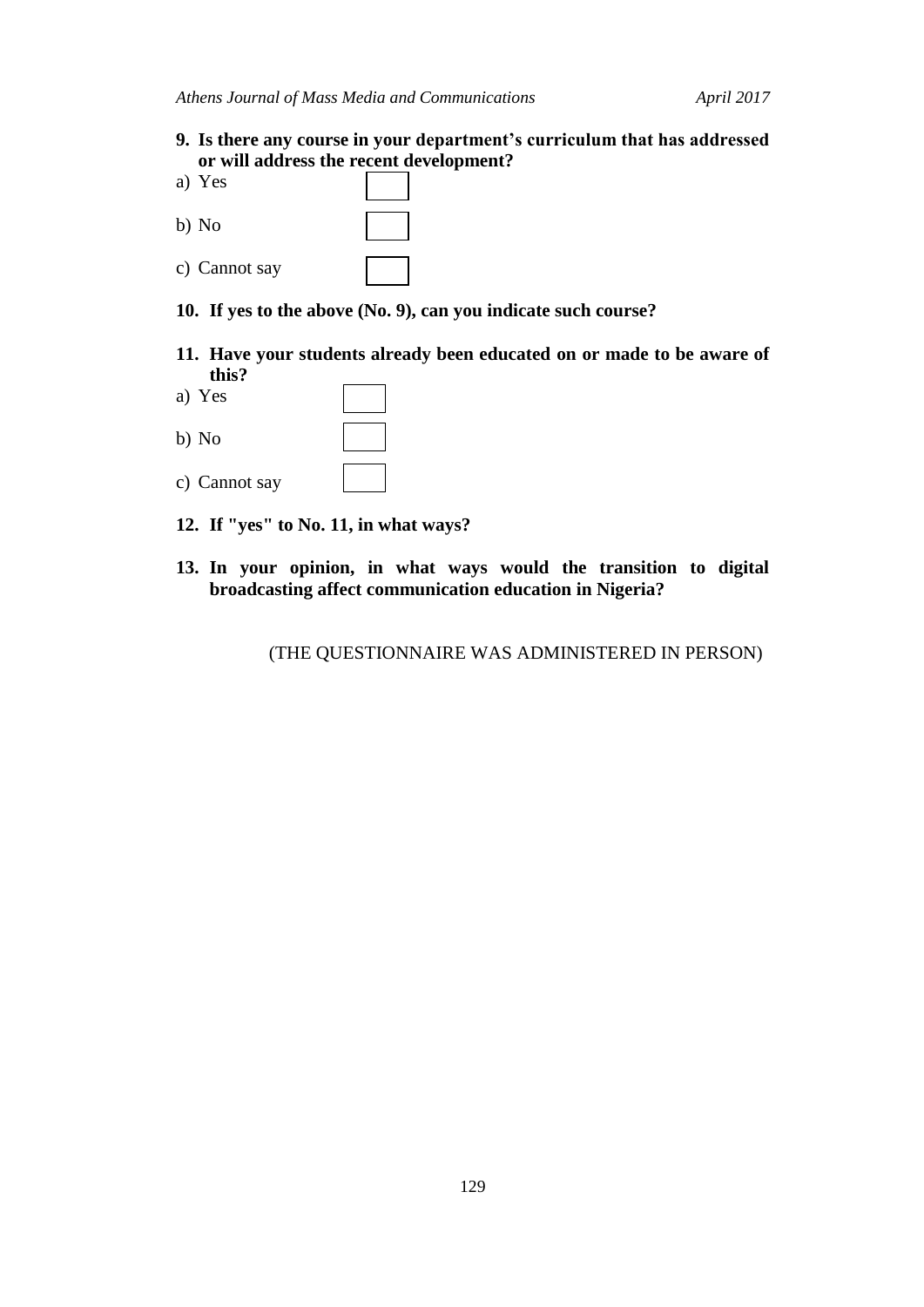- **9. Is there any course in your department's curriculum that has addressed or will address the recent development?**
- a) Yes b) No c) Cannot say
- **10. If yes to the above (No. 9), can you indicate such course?**
- **11. Have your students already been educated on or made to be aware of this?**
- a) Yes b) No

c) Cannot say

- **12. If "yes" to No. 11, in what ways?**
- **13. In your opinion, in what ways would the transition to digital broadcasting affect communication education in Nigeria?**

(THE QUESTIONNAIRE WAS ADMINISTERED IN PERSON)